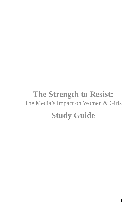# **The Strength to Resist:** The Media's Impact on Women & Girls **Study Guide**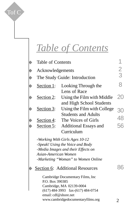# *Table of Contents*

 $\overline{1}$ 

Tof C

|                 | Table of Contents             |                                        |               |
|-----------------|-------------------------------|----------------------------------------|---------------|
| $\blacklozenge$ | Acknowledgements              |                                        | $\frac{2}{3}$ |
| $\blacklozenge$ | The Study Guide: Introduction |                                        |               |
| $\blacklozenge$ | Section 1:                    | Looking Through the                    | 8             |
|                 |                               | Lens of Race                           |               |
|                 | Section 2:                    | Using the Film with Middle             | 20            |
|                 |                               | and High School Students               |               |
|                 | Section 3:                    | Using the Film with College            | 30            |
|                 |                               | <b>Students and Adults</b>             |               |
|                 | Section 4:                    | The Voices of Girls                    | 48            |
|                 | Section 5:                    | <b>Additional Essays and</b>           | 56            |
|                 |                               | Curriculum                             |               |
|                 |                               | -Working With Girls Ages 10-12         |               |
|                 |                               | -Speak! Using the Voice and Body       |               |
|                 |                               | -Media Images and their Effects on     |               |
|                 | Asian-American Women          | -Marketing "Woman" to Women Online     |               |
|                 |                               |                                        |               |
|                 |                               | <b>Section 6:</b> Additional Resources |               |
|                 |                               | Cambridge Documentary Films, Inc       |               |
|                 | P.O. Box 390385               |                                        |               |
|                 |                               | Cambridge, MA 02139-0004               |               |
|                 | email: cdf@shore.net          | $(617)$ 484-3993 fax- $(617)$ 484-0754 |               |
|                 |                               | www.cambridgedocumentaryfilms.org      | 2             |
|                 |                               |                                        |               |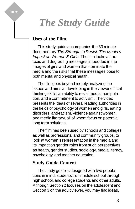# *The Study Guide*

# **Uses of the Film**

Intro

This study guide accompanies the 33 minute documentary The Strength to Resist: The Media's Impact on Women & Girls. The film looks at the toxic and degrading messages imbedded in the images of girls and women that dominate the media and the risks that these messages pose to both mental and physical health.

The film goes beyond merely analyzing the issues and aims at developing in the viewer critical thinking skills, an ability to resist media manipulation, and a commitment to activism. The video presents the ideas of several leading authorities in the fields of psychology of women and girls, eating disorders, anti-racism, violence against women, and media literacy, all of whom focus on potential long term solutions**.**

The film has been used by schools and colleges, as well as professional and community groups, to look at women's representation in the media and its impact on gender roles from such perspectives as health, gender studies, sociology, media literacy, psychology, and teacher education.

# **Study Guide Content**

The study guide is designed with two populations in mind: students from middle school through high school, and college students and other adults. Although Section 2 focuses on the adolescent and Section 3 on the adult viewer, you may find ideas,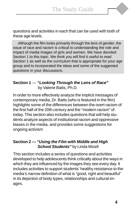questions and activities in each that can be used with both of these age levels.

Although the film looks primarily through the lens of gender, the issue of race and racism is critical to understanding the role and impact of media images of girls and women. We have devoted Section 1 to this topic. We think you will find it useful to read Section 1 as well as the curriculum that is appropriate for your age group and to incorporated the ideas and some of the suggested questions in your discussions.

#### **Section 1** — **"Looking Through the Lens of Race"** by Valerie Batts, Ph.D.

In order to more effectively analyze the implicit messages of contemporary media, Dr. Batts (who is featured in the film) highlights some of the differences between the overt racism of the first half of the 20th century and the "modern racism" of today. This section also includes questions that will help students analyze aspects of institutional racism and oppressive biases in the media, and provides some suggestions for ongoing activism

### **Section 2 — "Using the Film with Middle and High School Students"** by Linda Mizell

This section includes a series of questions and activities developed to help adolescents think critically about the ways in which they are influenced by the images they see every day. It includes activities to support students' healthy resistance to the media's narrow definition of what is "good, right and beautiful" in its depiction of body types, relationships and cultural images.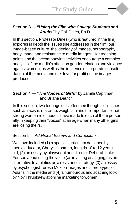#### **Section 3 — "Using the Film with College Students and Adults"** by Gail Dines, Ph.D.

In this section, Professor Dines (who is featured in the film) explores in depth the issues she addresses in the film: our image-based culture, the ideology of images, pornography, body image and resistance to media images. Her teaching points and the accompanying activities encourage a complex analysis of the media's affect on gender relations and violence against women, as well as the influence of corporate consolidation of the media and the drive for profit on the images produced.

#### **Section 4 — "The Voices of Girls"** by Jamila Capitman and Briana Deutch

In this section, two teenage girls offer their thoughts on issues such as racism, make-up, weightism and the importance that strong women role models have made to each of them personally in keeping their "voices" at an age when many other girls are losing theirs.

# Section 5 -- Additional Essays and Curriculum

We have included (1) a special curriculum designed by media educator, Cheryl Hirshman, for girls 10 to 12 years old, (2) an essay by playwright and director Deborah Lake Fortson about using the voice (as in acting or singing) as an alternative to athletics as a resistance strategy, (3) an essay by psychologist Teresa Mok on images and stereotypes of Asians in the media and (4) a humourous and scathing look by Noy Thrupkaew at online marketing to women.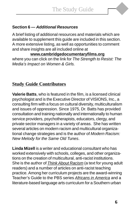

A brief listing of additional resources and materials which are available to supplement this guide are included in this section. A more extensive listing, as well as opportunities to comment and share insights are all included online at

**www.cambridgedocumentaryfilms.org** where you can click on the link for The Strength to Resist: The Media's Impact on Women & Girls.

# **Study Guide Contributors**

**Valerie Batts**, who is featured in the film, is a licensed clinical psychologist and is the Executive Director of VISIONS, Inc., a consulting firm with a focus on cultural diversity, multiculturalism and issues of oppression. Since 1975, Dr. Batts has provided consultation and training nationally and internationally to human service providers, psychotherapists, educators, clergy, and private sector managers in a variety of areas. She has written several articles on modern racism and multicultural organizational change strategies and is the author of Modern Racism: New Melody for the Same Old Tunes.

**Linda Mizell** is a writer and educational consultant who has worked extensively with schools, colleges, and other organizations on the creation of multicultural, anti-racist institutions. She is the author of Think About Racism (a text for young adult readers) and a number of articles on anti-racist teaching practice. Among her curriculum projects are the award-winning Teacher's Guide to the PBS series Africans in America and a literature-based language arts curriculum for a Southern urban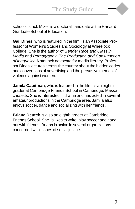school district. Mizell is a doctoral candidate at the Harvard Graduate School of Education.

**Gail Dines**, who is featured in the film, is an Associate Professor of Women's Studies and Sociology at Wheelock College. She is the author of Gender Race and Class in Media and Pornography: The Production and Consumption of Inequality. A staunch advocate for media literacy, Professor Dines lectures across the country about the hidden codes and conventions of advertising and the pervasive themes of violence against women.

**Jamila Capitman**, who is featured in the film, is an eighth grader at Cambridge Friends School in Cambridge, Massachusetts. She is interested in drama and has acted in several amateur productions in the Cambridge area. Jamila also enjoys soccer, dance and socializing with her friends.

**Briana Deutch** is also an eighth grader at Cambridge Friends School. She is likes to write, play soccer and hang out with friends. Briana is active in several organizations concerned with issues of social justice.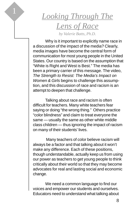*Looking Through The Lens of Race by Valerie Batts, Ph.D.*

Why is it important to explicitly name race in a discussion of the impact of the media? Clearly, media images have become the central form of communication for most young people in the United States. Our country is based on the assumption that "White is Right and West is Best." The media has been a primary carrier of this message. The video, The Strength to Resist: The Media's Impact on Women & Girls begins to challenge this assumption, and this discussion of race and racism is an attempt to deepen that challenge.

Talking about race and racism is often difficult for teachers. Many white teachers fear saying or doing "the wrong thing." Others practice "color blindness" and claim to treat everyone the same — usually the same as other white middle class children — thus ignoring the impact of racism on many of their students' lives.

 Many teachers of color believe racism will always be a factor and that talking about it won't make any difference. Each of these positions, though understandable, actually keep us from using our power as teachers to get young people to think critically about their world so that they may become advocates for real and lasting social and economic change.

We need a common language to find our voices and empower our students and ourselves. Educators need to understand what talking about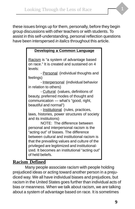these issues brings up for them, personally, before they begin group discussions with other teachers or with students. To assist in this self-understanding, personal reflection questions have been interspersed in italics throughout this article.

#### **Developing a Common Language**

Racism is "a system of advantage based on race." It is created and sustained on 4 levels:

- Personal (individual thoughts and feelings)

- Interpersonal (individual behavior in relation to others)

- Cultural (values, definitions of beauty, preferred modes of thought and communication — what's "good, right, beautiful and normal")

- Institutional (rules, practices, laws, histories, power structures of society and its institutions)

NOTE: The difference between personal and interpersonal racism is the "acting out" of biases. The difference between cultural and institutional racism is that the prevailing values and culture of the privileged are legitimized and institutionalized. It becomes an institutional "acting out" of held beliefs.

# **Racism Defined**

Many people associate racism with people holding prejudiced ideas or acting toward another person in a prejudiced way. We all have individual biases and prejudices, but racism in the United States goes further than individual acts of bias or meanness. When we talk about racism, we are talking about a system of advantage based on race. It is sometimes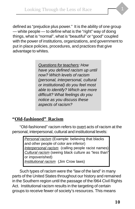defined as "prejudice plus power." It is the ability of one group — white people — to define what is the "right" way of doing things, what is "normal", what is "beautiful" or "good" coupled with the power of institutions, organizations, and government to put in place policies, procedures, and practices that give advantage to whites.

> Questions for teachers: How have you defined racism up until now? Which levels of racism (personal, interpersonal, cultural or institutional) do you feel most able to identify? Which are more difficult? What feelings do you notice as you discuss these aspects of racism?

# **"Old-fashioned" Racism**

"Old-fashioned" racism refers to overt acts of racism at the personal, interpersonal, cultural and institutional levels:

> Personal racism (Example: believing that blacks and other people of color are inferior) Interpersonal racism (calling people racist names) Cultural racism (seeing black culture as "less than" or impoverished) Institutional racism (Jim Crow laws)

Such types of racism were the "law of the land" in many parts of the United States throughout our history and remained in the Southern region until the passage of the l964 Civil Rights Act. Institutional racism results in the targeting of certain groups to receive fewer of society's resources. This means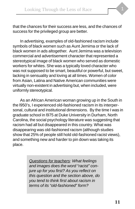that the chances for their success are less, and the chances of success for the privileged group are better.

In advertising, examples of old-fashioned racism include symbols of black women such as Aunt Jemima or the lack of black women in ads altogether. Aunt Jemima was a television commercial and advertisement character that represented a stereotypical image of black women who served as domestic workers for whites. She was a typically loved character who was not supposed to be smart, beautiful or powerful, but sweet, lacking in sensuality and loving at all times. Women of color from Asian, Latina and Native American communities were virtually non-existent in advertising but, when included, were uniformly stereotypical.

As an African American woman growing up in the South in the l950's, I experienced old-fashioned racism in its interpersonal, cultural and institutional dimensions. By the time I was in graduate school in l975 at Duke University in Durham, North Carolina, the social psychology literature was suggesting that racism had all but disappeared in this country. What was disappearing was old-fashioned racism (although studies show that 25% of people still hold old-fashioned racist views), and something new and harder to pin down was taking its place.

> Questions for teachers: What feelings and images does the word "racist" conjure up for you first? As you reflect on this question and the section above, do you tend to think first about racism in terms of its "old-fashioned" form?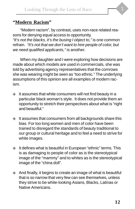

"Modern racism", by contrast, uses non-race related reasons for denying equal access to opportunity.

"It's not the blacks, it's the busing I object to," is one common refrain. "It's not that we don't want to hire people of color, but we need qualified applicants, "is another.

When my daughter and I were exploring how decisions are made about which models are used in commercials, she was told by advertising agency representatives that the cornrows she was wearing might be seen as "too ethnic." The underlying assumptions of this opinion are all examples of modern racism.

- It assumes that white consumers will not find beauty in a particular black woman's style. It does not provide them an opportunity to stretch their perspectives about what is "right and beautiful."
- It assumes that consumers from all backgrounds share this bias. For too long women and men of color have been trained to disregard the standards of beauty traditional to our group or cultural heritage and to feel a need to strive for white images.
- It defines what is beautiful in European "ethnic" terms. This is as damaging to people of color as is the stereotypical image of the "mammy" and to whites as is the stereotypical image of the "china doll".
- And finally, it begins to create an image of what is beautiful that is so narrow that very few can see themselves, unless they strive to be white-looking Asians, Blacks, Latinas or Native Americans.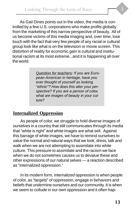As Gail Dines points out in the video, the media is controlled by a few U.S. corporations who make profits globally from the marketing of this narrow perspective of beauty. All of us become victims of this media imaging and, over time, lose touch with the fact that very few people of any racial or cultural group look like what is on the television or movie screen. This distortion of reality for economic gain is cultural and institutional racism at its most extreme...and it is happening all over the world.

> Question for teachers: If you are European-American in heritage, have you ever thought of yourself as looking "ethnic"? How does this alter your perspective? If you are a person of color, what are images of beauty in your culture?

# **Internalized Oppression**

As people of color, we struggle to hold diverse images of ourselves in a country that still communicates through its media that "white is right" and white images are what sell. Against this barrage of white images, we have to remind ourselves to value the normal and natural ways that we look, dress, talk and walk when we are not attempting to assimilate into white culture. This pressure to assimilate and the racism we face when we do not sometimes causes us to devalue these and other expressions of our natural selves — a reaction described as "internalized oppression."

In its modern form, internalized oppression is when people of color, as "targets" of oppression, engage in behaviors and beliefs that undermine ourselves and our community. It is when we seem to collude in our own oppression and it often hap-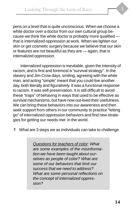pens on a level that is quite unconscious. When we choose a white doctor over a doctor from our own cultural group because we think the white doctor is probably more qualified that is internalized oppression at work. When we lighten our skin or get cosmetic surgery because we believe that our skin or features are not beautiful as they are — again, that is internalized oppression.

Internalized oppression is inevitable, given the intensity of racism, and is first and foremost a "survival strategy". In the slavery and Jim Crow days, smiling, agreeing with the white man, and acting "simple" meant that you could live another day, both literally and figuratively. It was a functional response to racism. It was self-preservation. It is still difficult to avoid these "traps" of behaving in ways that used to be effective as survival mechanisms, but have now out-lived their usefulness. We can bring these behaviors into our awareness and then seek support from others in our community to practice "letting go" of internalized oppression behaviors and find new strategies for getting our needs met in the world.

⇑ What are 3 steps we as individuals can take to challenge

Questions for teachers of color: What are some examples of the misinformation we have been taught about ourselves as people of color? What are some of our behaviors that limit our success that we need to address? What are some personal reflections on the concept of internalized oppression?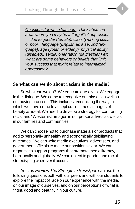Questions for white teachers: Think about an area where you may be a "target" of oppression — due to gender (female), class (working class or poor), language (English as a second language), age (youth or elderly), physical ability (disabled), sexual orientation (gay/lesbian) etc. What are some behaviors or beliefs that limit your success that might relate to internalized oppression?

# **So what can we do about racism in the media?**

So what can we do? We educate ourselves. We engage in the dialogue. We come to recognize our biases as well as our buying practices. This includes recognizing the ways in which we have come to accept current media images of beauty as ideal. We need to develop a strategy for confronting racist and "Westernist" images in our personal lives as well as in our families and communities.

We can choose not to purchase materials or products that add to personally unhealthy and economically debilitating outcomes. We can write media executives, advertisers, and government officials to make our positions clear. We can organize to support programs that promote media literacy, both locally and globally. We can object to gender and racial stereotyping wherever it occurs.

And, as we view The Strength to Resist, we can use the following questions both with our peers and with our students to explore the impact of race on our experience with the media, on our image of ourselves, and on our perceptions of what is "right, good and beautiful" in our culture.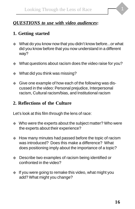

# **1. Getting started**

- ◆ What do you know now that you didn't know before...or what did you know before that you now understand in a different way?
- ◆ What questions about racism does the video raise for you?
- ◆ What did you think was missing?
- ◆ Give one example of how each of the following was discussed in the video: Personal prejudice, Interpersonal racism, Cultural racism/bias, and Institutional racism

# **2. Reflections of the Culture**

Let's look at this film through the lens of race:

- ◆ Who were the experts about the subject matter? Who were the experts about their experience?
- ◆ How many minutes had passed before the topic of racism was introduced? Does this make a difference? What does positioning imply about the importance of a topic?
- ◆ Describe two examples of racism being identified or confronted in the video?
- ◆ If you were going to remake this video, what might you add? What might you change?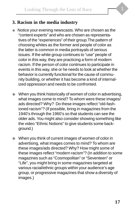

# **3. Racism in the media industry**

- Notice your evening newscasts. Who are chosen as the "content experts" and who are chosen as representatives of the "experiences" of their group.The pattern of choosing whites as the former and people of color as the latter is common in media portrayals of serious issues. If the white group continues to "use" people of color in this way, they are practicing a form of modern racism. If the person of color continues to participate in events in this way, she or he needs to look at whether the behavior is currently functional for the cause of community building, or whether it has become a kind of internalized oppression and needs to be confronted.
- When you think historically of women of color in advertising, what images come to mind? To whom were these images/ ads directed? Why? Do these images reflect "old-fashioned racism"? (If possible, bring in magazines from the 1940's through the 1960's so that students can see the older ads. You might also consider showing something like the video "Ethnic Notions" to give students some background.)
- ◆ When you think of current images of women of color in advertising, what images comes to mind? To whom are these images/ads directed? Why? How might some of these images reflect "modern racism"? (In addition to some magazines such as "Cosmopolitan" or "Seventeen" or "Life", you might bring in some magazines targeted at various racial/ethnic groups within your audience's age group, or progressive magazines that show a diversity of images.)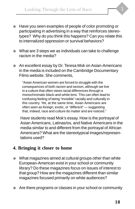

- What are 3 steps we as individuals can take to challenge racism in the media?
- An excellent essay by Dr. Teresa Mok on Asian-Americans in the media is included on the Cambridge Documentary Films website. She comments,

"Asian American women are forced to struggle with the consequences of both racism and sexism, although we live in a culture that often views racial differences through a monochromatic black-and-white lens. This can often lead to confusing feeling of being "invisible" racially and culturally in this country. Yet, at the same time, Asian Americans are often seen as foreign, exotic, or "different" — suggesting that, indeed, race and culture do matter and are noticed."

Have students read Mok's essay. How is the portrayal of Asian Americans, Latinas/os, and Native Americans in the media similar to and different from the portrayal of African Americans? What are the stereotypical images/representations used?

# **4. Bringing it closer to home**

- ◆ What magazines aimed at cultural groups other than white European-American exist in your school or community library? Do these magazines focus on issues of interest to that group? How are the magazines different than similar magazines focused primarily on white audiences?
- Are there programs or classes in your school or community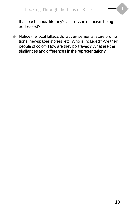

that teach media literacy? Is the issue of racism being addressed?

◆ Notice the local billboards, advertisements, store promotions, newspaper stories, etc. Who is included? Are their people of color? How are they portrayed? What are the similarities and differences in the representation?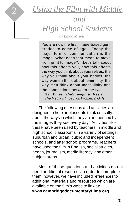*Using the Film with Middle*

*and High School Students by Linda Mizell*

You are now the first image-based generation to come of age....Today the major form of communication is the image. What does that mean to move from print to image?....Let's talk about how this affects you, how this affects the way you think about yourselves, the way you think about your bodies, the way women think about femininity, the way men think about masculinity and the connections between the two. Gail Dines, TheStrength to Resist: The Media's Impact on Women & Girls

The following questions and activities are designed to help adolescents think critically about the ways in which they are influenced by the images they see every day. Activities like these have been used by teachers in middle and high school classrooms in a variety of settings: suburban and urban, public and independent schools, and after school programs. Teachers have used the film in English, social studies, health, journalism, media literacy, and other subject areas.

 $\begin{pmatrix} 1 & 1 \\ 1 & 1 \end{pmatrix}$ 

2

Most of these questions and activities do not need additional resources in order to com plete them; however, we have included references to additional materials and resources which are available on the film's website link at: **www.cambridgedocumentaryfilms.org**.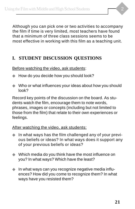Although you can pick one or two activities to accompany the film if time is very limited, most teachers have found that a minimum of three class sessions seems to be most effective in working with this film as a teaching unit.

# **I. STUDENT DISCUSSION QUESTIONS**

Before watching the video, ask students:

- ◆ How do you decide how you should look?
- ◆ Who or what influences your ideas about how you should look?

Record key points of the discussion on the board. As students watch the film, encourage them to note words, phrases, images or concepts (including but not limited to those from the film) that relate to their own experiences or feelings.

After watching the video, ask students:

- ◆ In what ways has the film challenged any of your previous beliefs or ideas? In what ways does it support any of your previous beliefs or ideas?
- ◆ Which media do you think have the most influence on you? In what ways? Which have the least?
- ◆ In what ways can you recognize negative media influences? How did you come to recognize them? In what ways have you resisted them?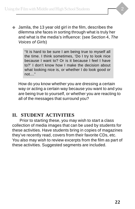◆ Jamila, the 13 year old girl in the film, describes the dilemma she faces in sorting through what is truly her and what is the media's influence: (see Section 4, The Voices of Girls)

> "It is hard to be sure I am being true to myself all the time. I think sometimes, 'Do I try to look nice because I want to? Or is it because I feel I have to?' I don't know how I make the decision about what looking nice is, or whether I do look good or not...."

How do you know whether you are dressing a certain way or acting a certain way because you want to and you are being true to yourself, or whether you are reacting to all of the messages that surround you?

# **II. STUDENT ACTIVITIES**

Prior to starting these, you may wish to start a class collection of media images that can be used by students for these activities. Have students bring in copies of magazines they've recently read, covers from their favorite CDs, etc. You also may wish to review excerpts from the film as part of these activities. Suggested segments are included.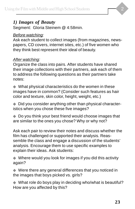#### *1) Images of Beauty*

Segment: Gloria Steinem @ 4:58min.

#### Before watching:

Ask each student to collect images (from magazines, newspapers, CD covers, internet sites, etc.) of five women who they think best represent their ideal of beauty.

#### After watching:

Organize the class into pairs. After students have shared their image collections with their partners, ask each of them to address the following questions as their partners take notes:

◆ What physical characteristics do the women in these images have in common? (Consider such features as hair color and texture, skin color, height, weight, etc.)

◆ Did you consider anything other than physical characteristics when you chose these five images?

◆ Do you think your best friend would choose images that are similar to the ones you chose? Why or why not?

Ask each pair to review their notes and discuss whether the film has challenged or supported their analysis. Reassemble the class and engage a discussion of the students' analysis. Encourage them to use specific examples to explain their ideas. Ask students:

◆ Where would you look for images if you did this activity again?

◆ Were there any general differences that you noticed in the images that boys picked vs. girls?

◆ What role do boys play in deciding who/what is beautiful? How are you affected by this?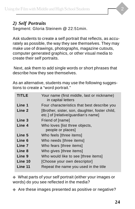#### *2) Self Portraits*

Segment: Gloria Steinem @ 22:51min.

Ask students to create a self portrait that reflects, as accurately as possible, the way they see themselves. They may make use of drawings, photographs, magazine cutouts, computer generated graphics, or other visual media to create their self portraits.

 Next, ask them to add single words or short phrases that describe how they see themselves.

As an alternative, students may use the following suggestions to create a "word portrait."

| TITLE   | Your name (first middle, last or nickname)<br>in capital letters                      |
|---------|---------------------------------------------------------------------------------------|
| Line 1  | Four characteristics that best describe you                                           |
| Line 2  | [Brother, sister, son, daughter, foster child,<br>etc.] of [relative/guardian's name] |
| Line 3  | Friend of [name]                                                                      |
| Line 4  | Who loves <i>[list three objects,</i>                                                 |
|         | people or places]                                                                     |
| Line 5  | Who feels [three items]                                                               |
| Line 6  | Who needs [three items]                                                               |
| Line 7  | Who fears [three items]                                                               |
| Line 8  | Who gives [three items]                                                               |
| Line 9  | Who would like to see [three items]                                                   |
| Line 10 | [Choose your own descriptor]                                                          |
| Line 11 | Repeat the name you used in the title                                                 |

◆ What parts of your self portrait (either your images or words) do you see reflected in the media?

◆ Are these images presented as positive or negative?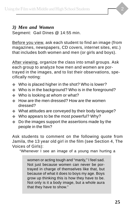#### *3) Men and Women*

Segment: Gail Dines @ 14:55 min.

Before you view, ask each student to find an image (from magazines, newspapers, CD covers, internet sites, etc.) that includes both women and men (or girls and boys).

After viewing, organize the class into small groups. Ask each group to analyze how men and women are portrayed in the images, and to list their observations, specifically noting:

- ◆ Who is placed higher in the shot? Who is lower?
- ◆ Who is in the background? Who is in the foreground?
- ◆ Who is looking at whom or what?
- ◆ How are the men dressed? How are the women dressed?
- ◆ What attitudes are conveyed by their body language?
- ◆ Who appears to be the most powerful? Why?
- ◆ Do the images support the assertions made by the people in the film?

Ask students to comment on the following quote from Jamila, the 13 year old girl in the film (see Section 4, The Voices of Girls):

"Whenever I see an image of a young man hurting a

women or acting tough and "manly," I feel sad. Not just because women can never be portrayed in charge of themselves like that, but because of what it does to boys my age. Boys grow up thinking this is how they have to be. Not only is it a body image, but a whole aura that they have to show."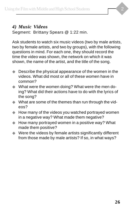#### *4) Music Videos*

Segment: Brittany Spears @ 1:22 min.

Ask students to watch six music videos (two by male artists, two by female artists, and two by groups), with the following questions in mind. For each one, they should record the time the video was shown, the network on which it was shown, the name of the artist, and the title of the song.

- ◆ Describe the physical appearance of the women in the videos. What did most or all of these women have in common?
- ◆ What were the women doing? What were the men doing? What did their actions have to do with the lyrics of the song?
- ◆ What are some of the themes than run through the videos?
- ◆ How many of the videos you watched portrayed women in a negative way? What made them negative?
- ◆ How many portrayed women in a positive way? What made them positive?
- ◆ Were the videos by female artists significantly different from those made by male artists? If so, in what ways?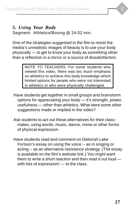*5. Using Your Body*

Segment: Athletics/Boxing @ 24:02 min.

One of the strategies suggested in the film to resist the media's unrealistic images of beauty is to use your body physically — to get to know your body as something other than a reflection in a mirror or a source of dissatisfaction.

> NOTE TO TEACHERS: For some students who viewed this video, there was too much emphasis on athletics to achieve this body knowledge which limited options for people who were not interested in athletics or who were physically challenged.

- Have students get together in small groups and brainstorm options for appreciating your body — it's strength, power, usefulness — other than athletics. What were some other suggestions made or implied in the video?
- Ask students to act out these alternatives for their classmates, using words, music, dance, mime or other forms of physical expression.
- Have students read and comment on Deborah Lake Fortson's essay on using the voice -- as in singing or acting -- as an alternative resistance strategy. (The essay is available on the film's website link.) You might want them to write a short reaction and then read it out loud with lots of expression! — to the class.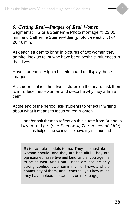# *6. Getting Real—Images of Real Women*

Segments: Gloria Steinem & Photo montage @ 23:00 min. and Catherine Steiner-Adair (photo tree activity) @ 28:48 min.

Ask each student to bring in pictures of two women they admire, look up to, or who have been positive influences in their lives.

Have students design a bulletin board to display these images.

As students place their two pictures on the board, ask them to introduce these women and describe why they admire them.

At the end of the period, ask students to reflect in writing about what it means to focus on real women...

...and/or ask them to reflect on this quote from Briana, a 14 year old girl (see Section 4, The Voices of Girls): "It has helped me so much to have my mother and

Sister as role models to me. They look just like a woman should, and they are beautiful. They are opinionated, assertive and loud, and encourage me to be as well. And I am. These are not the only strong, confident women in my life. I have a whole community of them, and I can't tell you how much they have helped me....(cont. on next page)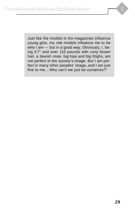Just like the models in the magazines influence young girls, my role models influence me to be who I am — but in a good way. Obviously, I, being 5'7" and over 110 pounds with curly brown hair, a Jewish nose, big hips and big thighs, am not perfect in the society's image. But I am per-

fect in many other peoples' image, and I am just fine to me....Why can't we just be ourselves?"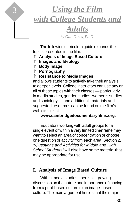# 3 *Using the Film with College Students and Adults*

*by Gail Dines, Ph.D.*

The following curriculum guide expands the topics presented in the film:

- ⇑ **Analysis of Image Based Culture**
- ⇑ **Images and Ideology**
- ⇑ **Body Image**
- ⇑ **Pornography**

# ⇑ **Resistance to Media Images**

and allows students to actively take their analysis to deeper levels. College instructors can use any or all of these topics with their classes — particularly in media studies, gender studies, women's studies and sociology — and additional materials and suggested resources can be found on the film's web site link at:

**www.cambridgedocumentaryfilms.org**.

Educators working with adult groups for a single event or within a very limited timeframe may want to select an area of concentration or choose one question or activity from each area. Section 2, *"*Questions and Activities for Middle and High School Students" will also have some material that may be appropriate for use.

# **I. Analysis of Image Based Culture**

Within media studies, there is a growing discussion on the nature and importance of moving from a print-based culture to an image-based culture. The main argument here is that the major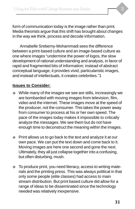form of communication today is the image rather than print. Media theorists argue that this shift has brought about changes in the way we think, process and decode information.

Annabelle Sreberny-Mohammadi sees the difference between a print-based culture and an image-based culture as one where images "undermine the power of logos, the slow development of rational understanding and analysis, in favor of rapid and fragmented bits of information; instead of abstract conceptual language, it provides vivid, particularistic images, and instead of intellectuals, it creates celebrities."1

# **Issues to Consider:**

- While many of the images we see are stills, increasingly we are bombarded with moving images from television, film, video and the internet. These images move at the speed of the producer, not the consumer. This takes the power away from consumer to process at his or her own speed. The pace of the images today makes it impossible to critically analyze the messages. We see them but do not have enough time to deconstruct the meaning within the images.
- Print allows us to go back to the text and analyze it at our own pace. We can put the text down and come back to it. Moving images are here one second and gone the next. Ultimately, they all just collapse together into a confusing, but often disturbing, mush.
- To produce print, you need literacy, access to writing materials and the printing press. This was always political in that only some people (elite classes) had access to main stream distribution. But print based culture did allow for a range of ideas to be disseminated since the technology needed was relatively inexpensive.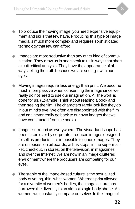- ◆ To produce the moving image, you need expensive equipment and skills that few have. Producing this type of image media is much more complex and requires sophisticated technology that few can afford.
- Images are more seductive than any other kind of communication. They draw us in and speak to us in ways that short circuit critical analysis. They have the appearance of always telling the truth because we are seeing it with our eyes.
- Moving images require less energy than print. We become much more passive when consuming the image since we really do not need to use our imagination. All the work is done for us. (Example: Think about reading a book and then seeing the film. The characters rarely look like they do in our mind's eye. We often are disappointed with the film and can never really go back to our own images that we have constructed from the book.)
- Images surround us everywhere. The visual landscape has been taken over by corporate produced images designed to sell us products. It is impossible to ignore images. They are on buses, on billboards, at bus stops, in the supermarket, checkout, in stores, on the television, in magazines, and over the Internet. We are now in an image-cluttered environment where the producers are competing for our eyes.
- The staple of the image-based culture is the sexualized body of young, thin, white women. Whereas print allowed for a diversity of women's bodies, the image culture has narrowed the diversity to an almost single body shape. As women, we constantly compare ourselves to the image of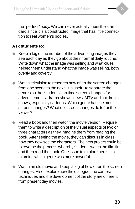the "perfect" body. We can never actually meet the standard since it is a constructed image that has little connection to real women's bodies.

# **Ask students to:**

- ◆ Keep a log of the number of the advertising images they see each day as they go about their normal daily routine. Write down what the image was selling and what clues helped them understand what the image was selling, both overtly and covertly.
- ◆ Watch television to research how often the screen changes from one scene to the next. It is useful to separate the genres so that students can time screen changes for advertisements, drama shows, news, MTV and children's shows, especially cartoons. Which genre has the most screen changes? What do screen changes do to/for the viewer?
- ◆ Read a book and then watch the movie version. Require them to write a description of the visual aspects of two or three characters as they imagine them from reading the book. After seeing the movie, they can discuss in class how they now see the characters. The next project could be to reverse the process whereby students watch the film first and then read the book. One issue to explore here is to examine which genre was more powerful.
- ◆ Watch an old movie and keep a log of how often the screen changes. Also, explore how the dialogue, the camera techniques and the development of the story are different from present day movies.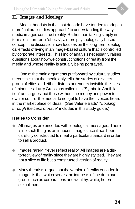# **II. Images and Ideology**

Media theorists in that last decade have tended to adopt a more "cultural studies approach" to understanding the way media images construct reality. Rather than talking simply in terms of short-term "effects", a more psychologically based concept; the discussion now focuses on the long-term ideological effects of living in an image-based culture that is controlled by corporate interests. This kind of analysis necessarily raises questions about how we construct notions of reality from the media and whose reality is actually being portrayed.

One of the main arguments put forward by cultural studies theorists is that the media only tells the stories of a select group of elites and either distorts or renders invisible the lives of minorities. Larry Gross has called this "Symbolic Annihilation" and argues that those without the money and power to own or control the media do not get to have their voices heard in the market place of ideas. (See Valerie Batts' *"*Looking through the Lens of Race" included in this study guide.)

#### **Issues to Consider**

- ◆ All images are encoded with ideological messages. There is no such thing as an innocent image since it has been carefully constructed to meet a particular standard in order to sell a product.
- Images rarely, if ever reflect reality. All images are a distorted view of reality since they are highly stylized. They are not a slice of life but a constructed version of reality.
- Many theorists argue that the version of reality encoded in images is that which serves the interests of the dominant group such as corporations and wealthy, white, heterosexual men.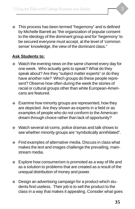◆ This process has been termed "hegemony" and is defined by Michelle Barrett as "the organization of popular consent to the ideology of the dominant group and for 'hegemony' to be secured everyone must accept, at the level of 'common sense' knowledge, the view of the dominant class."

### **Ask Students to:**

- ◆ Watch the evening news on the same channel every day for one week. Who actually gets to speak? What do they speak about? Are they "subject matter experts" or do they have another role? Which groups do these people represent? Observe how often during the week the stories of racial or cultural groups other than white European-Americans are featured.
- ◆ Examine how minority groups are represented, how they are depicted. Are they shown as experts in a field or as examples of people who do not conform to the American dream through choice rather than lack of opportunity?
- ◆ Watch several sit-coms, police dramas and talk shows to see whether minority groups are "symbolically annihilated".
- ◆ Find examples of alternative media. Discuss in class what makes the text and images challenge the prevailing, mainstream media.
- Explore how consumerism is promoted as a way of life and as a solution to problems that are created as a result of the unequal distribution of money and power.
- Design an advertising campaign for a product which students find useless. Their job is to sell the product to the class in a way that makes it appealing. Consider what goes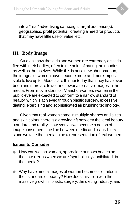into a "real" advertising campaign: target audience(s), geographics, profit potential, creating a need for products that may have little use or value, etc.

# **III. Body Image**

Studies show that girls and women are extremely dissatisfied with their bodies, often to the point of hating their bodies, as well as themselves. While this is not a new phenomenon, the images of women have become more and more impossible to live up to. Models are thinner today than they have ever been and there are fewer and fewer alternative images in the media. From movie stars to TV anchorwomen, women in the public eye are expected to conform to a narrow standard of beauty, which is achieved through plastic surgery, excessive dieting, exercising and sophisticated air brushing technology.

Given that real women come in multiple shapes and sizes and skin colors, there is a growing rift between the ideal beauty standard and reality. However, as we become a nation of image consumers, the line between media and reality blurs since we take the media to be a representation of real women.

#### **Issues to Consider**

- How can we, as women, appreciate our own bodies on their own terms when we are "symbolically annihilated" in the media?
- ◆ Why have media images of women become so limited in their standard of beauty? How does this tie in with the massive growth in plastic surgery, the dieting industry, and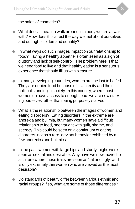

the sales of cosmetics?

- ◆ What does it mean to walk around in a body we are at war with? How does this affect the way we feel about ourselves and our rights to demand equality?
- ◆ In what ways do such images impact on our relationship to food? Having a healthy appetite is often seen as a sign of gluttony and lack of self-control. The problem here is that we need food to live and that healthy eating is a sensuous experience that should fill us with pleasure.
- ◆ In many developing countries, women are the last to be fed. They are denied food because of its scarcity and their political standing in society. In this country, where most women do have access to enough food, we are now starving ourselves rather than being purposely starved.
- ◆ What is the relationship between the images of women and eating disorders? Eating disorders in the extreme are anorexia and bulimia, but many women have a difficult relationship to food, one fraught with guilt, shame, and secrecy. This could be seen on a continuum of eating disorders, not as a rare, deviant behavior exhibited by a few anorexics and bulimics.
- In the past, women with large hips and sturdy thighs were seen as sexual and desirable. Why have we now moved to a culture where these traits are seen as "fat and ugly" and it is only extremely thin women who are viewed as the most desirable?
- Do standards of beauty differ between various ethnic and racial groups? If so, what are some of those differences?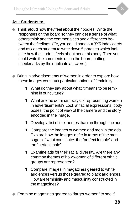### **Ask Students to:**

- ◆ Think aloud how they feel about their bodies. Write the responses on the board so they can get a sense of what others think and the commonalties and differences between the feelings. (Or, you could hand out 3X5 index cards and ask each student to write down 5 phrases which indicate how the student feels about her or his body. Then you could write the comments up on the board, putting checkmarks by the duplicate answers.)
- ◆ Bring in advertisements of women in order to explore how these images construct particular notions of femininity.
	- ⇑ What do they say about what it means to be feminine in our culture?
	- ⇑ What are the dominant ways of representing women in advertisements? Look at facial expressions, body poses, the point of view of the camera and the story encoded in the image.
	- $\hat{p}$  Develop a list of the themes that run through the ads.
	- ⇑ Compare the images of women and men in the ads. Explore how the images differ in terms of the messages of what constitutes the "perfect female" and the "perfect male".
	- ⇑ Examine ads for their racial diversity. Are there any common themes of how women of different ethnic groups are represented?
	- ⇑ Compare images in magazines geared to white audiences versus those geared to black audiences. How are femininity and masculinity constructed in the magazines?
- ◆ Examine magazines geared to "larger women" to see if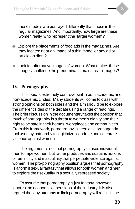these models are portrayed differently than those in the regular magazines. And importantly, how large are these women really, who represent the "larger women"?

- ◆ Explore the placements of food ads in the magazines. Are they located near an image of a thin model or any ad or article on diets?
- ◆ Look for alternative images of women. What makes these images challenge the predominant, mainstream images?

# **IV. Pornography**

This topic is extremely controversial in both academic and non-academic circles. Many students will come to class with strong opinions on both sides and the aim should be to explore the different sides of the debate using a range of readings. The brief discussion in the documentary takes the position that much of pornography is a threat to women's dignity and their right to be safe in their homes, workplaces and communities. From this framework, pornography is seen as a propaganda tool used by patriarchy to legitimize, condone and celebrate violence against women.

The argument is not that pornography causes individual men to rape women, but rather produces and sustains notions of femininity and masculinity that perpetuate violence against women. The pro-pornography position argues that pornography is a form if sexual fantasy that allows for both women and men to explore their sexuality in a sexually repressed society.

To assume that pornography is just fantasy, however, ignores the economic dimensions of the industry. It is also argued that any attempts to limit pornography will result in the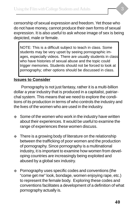censorship of sexual expression and freedom. Yet those who do not have money, cannot produce their own forms of sexual expression. It is also useful to ask whose image of sex is being depicted, male or female.

NOTE: This is a difficult subject to teach in class. Some students may be very upset by seeing pornographic images, especially videos. There are usually students in class who have histories of sexual abuse and the topic could trigger memories. Students should not be forced to look at pornography; other options should be discussed in class.

#### **Issues to Consider**

Pornography is not just fantasy, rather it is a multi-billion dollar a year industry that is produced in a capitalist, patriarchal system. This means that we need to explore the conditions of its production in terms of who controls the industry and the lives of the women who are used in the industry.

- Some of the women who work in the industry have written about their experiences. It would be useful to examine the range of experiences these women discuss.
- ◆ There is a growing body of literature on the relationship between the trafficking of poor women and the production of pornography. Since pornography is a multinational industry, it is important to examine how women from developing countries are increasingly being exploited and abused by a global sex industry.
- Pornography uses specific codes and conventions (the "come get me" look, bondage, women enjoying rape, etc.) to represent the female body. Exploring these codes and conventions facilitates a development of a definition of what pornography actually is.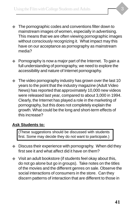- ◆ The pornographic codes and conventions filter down to mainstream images of women, especially in advertising. This means that we are often viewing pornographic images without consciously recognizing it. What impact may this have on our acceptance as pornography as mainstream media?
- ◆ Pornography is now a major part of the Internet. To gain a full understanding of pornography, we need to explore the accessibility and nature of Internet pornography.
- ◆ The video pornography industry has grown over the last 10 years to the point that the industry magazine (Adult Video News) has reported that approximately 10,000 new videos were released last year, compared to about 3,000 in 1994. Clearly, the Internet has played a role in the marketing of pornography, but this does not completely explain the growth. What could be the long and short-term effects of this increase?

#### **Ask Students to:**

(These suggestions should be discussed with students first. Some may decide they do not want to participate.)

- ◆ Discuss their experience with pornography. When did they first see it and what affect did it have on them?
- ◆ Visit an adult bookstore (if students feel okay about this, do not go alone but go in groups). Take notes on the titles of the movies and the different genres on sale. Observe the social interactions of consumers in the store. Can they discern patterns of interaction that are different to those in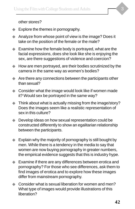other stores?

- ◆ Explore the themes in pornography.
- ◆ Analyze from whose point of view is the image? Does it take on the position of the female or the male?
- $\blacklozenge$  Examine how the female body is portrayed, what are the facial expressions, does she look like she is enjoying the sex, are there suggestions of violence and coercion?
- ◆ How are men portrayed, are their bodies scrutinized by the camera in the same way as women's bodies?
- ◆ Are there any connections between the participants other than sexual?
- ◆ Consider what the image would look like if women made it? Would sex be portrayed in the same way?
- ◆ Think about what is actually missing from the image/story? Does the images seem like a realistic representation of sex in this culture?
- ◆ Develop ideas on how sexual representation could be constructed differently to show an egalitarian relationship between the participants.
- ◆ Explain why the majority of pornography is still bought by men. While there is a tendency in the media to say that women are now buying pornography in greater numbers, the empirical evidence suggests that this is industry hype.
- ◆ Examine if there are any differences between erotica and pornography? For those who see differences, ask them to find images of erotica and to explore how these images differ from mainstream pornography.
- ◆ Consider what is sexual liberation for women and men? What type of images would provide illustrations of this liberation?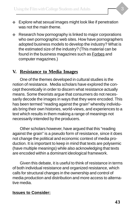- 
- ◆ Explore what sexual images might look like if penetration was not the main theme.
- ◆ Research how pornography is linked to major corporations who own pornographic web sites. How have pornographers adopted business models to develop the industry? What is the estimated size of the industry? (This material can be found in the business magazines such as Forbes and computer magazines.)

### **V. Resistance to Media Images**

One of the themes developed in cultural studies is the notion of resistance. Media scholars have explored the concept theoretically in order to discern what resistance actually means. Some theorists argue that consumers do not necessarily decode the images in ways that they were encoded. This has been termed "reading against the grain" whereby individuals bring their own histories, world-views, and experiences to a text which results in them making a range of meanings not necessarily intended by the producers.

Other scholars however, have argued that this "reading against the grain" is a pseudo form of resistance, since it does not change the political and economic context of media production. It is important to keep in mind that texts are polysemic (have multiple meanings) while also acknowledging that texts are encoded within a dominant ideological framework.

Given this debate, it is useful to think of resistance in terms of both individual resistance and organized resistance, which calls for structural changes in the ownership and control of media production and distribution and more access to alternative media.

#### **Issues to Consider:**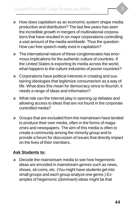- ◆ How does capitalism as an economic system shape media production and distribution? The last few years has seen the incredible growth in mergers of multinational corporations that have resulted in six major corporations controlling a vast amount of the media worldwide. Thus the question: How can free speech really exist in capitalism?
- ◆ The international nature of these conglomerates has enormous implications for the authentic culture of countries. If the United States is exporting its media across the world, what happens to the culture industries of poorer countries?
- Corporations have political interests in creating and sustaining ideologies that legitimize consumerism as a way of life. What does this mean for democracy since to flourish, it needs a range of ideas and information?
- ◆ What role can the Internet play in opening up debates and allowing access to ideas that are not found in the corporate controlled media?
- Groups that are excluded from the mainstream have tended to produce their own media, often in the forms of magazines and newspapers. The aim of this media is often to create a community among the minority group and to provide a forum for discussion of issues that directly impact on the lives of their members.

#### **Ask Students to:**

Decode the mainstream media to see how hegemonic ideas are encoded in mainstream genres such as news, shows, sit-coms, etc. (You might have students get into small groups and each group analyze one genre.) Examples of hegemonic (dominant) ideas might be that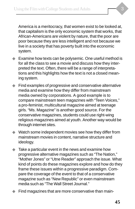America is a meritocracy, that women exist to be looked at, that capitalism is the only economic system that works, that African-Americans are violent by nature, that the poor are poor because they are less intelligent and not because we live in a society that has poverty built into the economic system.

- ◆ Examine how texts can be polysemic. One useful method is for all the class to see a movie and discuss how they interpreted the text. Often, there will be a range of interpretations and this highlights how the text is not a closed meaning system.
- ◆ Find examples of progressive and conservative alternative media and examine how they differ from mainstream media owned by corporations. A good example is to compare mainstream teen magazines with "Teen Voices," a pro-feminist, multicultural magazine aimed at teenage girls. "Ms. Magazine" is another good source. For the conservative magazines, students could use right-wing religious magazines aimed at youth. Another way would be through internet sites.
- ◆ Watch some independent movies see how they differ from mainstream movies in content, narrative structure and ideology.
- Take a particular event in the news and examine how progressive alternative magazines such as "The Nation," "Mother Jones" or "Utne Reader" approach the issue. What kind of points do these magazines explore and how do they frame these issues within a progressive paradigm. Compare the coverage of the event to that of a conservative magazine such as "New Republic" or even mainstream media such as "The Wall Street Journal."
- Find magazines that are more conservative than main-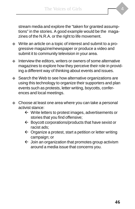stream media and explore the "taken for granted assumptions" in the stories. A good example would be the magazines of the N.R.A. or the right to life movement.

- ◆ Write an article on a topic of interest and submit to a progressive magazine/newspaper or produce a video and submit it to community television in your area.
- Interview the editors, writers or owners of some alternative magazines to explore how they perceive their role in providing a different way of thinking about events and issues.
- ◆ Search the Web to see how alternative organizations are using this technology to organize their supporters and plan events such as protests, letter writing, boycotts, conferences and local meetings.
- ◆ Choose at least one area where you can take a personal activist stance:
	- $\leftarrow$  Write letters to protest images, advertisements or stories that you find offensive;
	- $\leftarrow$  Boycott corporations/products that have sexist or racist ads;
	- $\leftarrow$  Organize a protest, start a petition or letter writing campaign; or
	- $\leftarrow$  Join an organization that promotes group activism around a media issue that concerns you.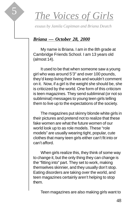

*essaus by Jamila Capitman and Briana Deutch*

### *Briana — October 28, 2000*

5

My name is Briana. I am in the 8th grade at Cambridge Friends School. I am 13 years old (almost 14).

It used to be that when someone saw a young girl who was around 5'3" and over 100 pounds, they'd keep living their lives and wouldn't comment on it. Now, if a girl is the weight she should be, she is criticized by the world. One form of this criticism is teen magazines. They send subliminal (or not so subliminal) messages to young teen girls telling them to live up to the expectations of the society.

The magazines put skinny blonde white girls in their pictures and pretend not to realize that these fake women are what the future women of our world look up to as role models. These "role models" are usually wearing tight, popular, cute clothes that many teen girls either can't fit into or can't afford.

When girls realize this, they think of some way to change it, but the only thing they can change is the "fitting into" part. They set to work, making themselves skinnier, and they usually don't stop. Eating disorders are taking over the world, and teen magazines certainly aren't helping to stop them.

Teen magazines are also making girls want to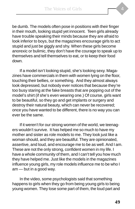be dumb. The models often pose in positions with their finger in their mouth, looking stupid yet innocent. Teen girls already have trouble speaking their minds because they are afraid to look inferior to boys, but the magazines encourage girls to act stupid and just be giggly and shy. When these girls become anorexic or bulimic, they don't have the courage to speak up to themselves and tell themselves to eat, or to keep their food down.

If a model isn't looking stupid, she's looking sexy. Magazines have commercials in them with women lying on the floor, touching their bellies, or something. And they almost always look depressed, but nobody ever notices that because they're too busy staring at the fake breasts that are popping out of the model's shirt (if she's even wearing one.) Of course, girls want to be beautiful, so they go and get implants or surgery and destroy their natural beauty, which can never be recovered; once you have wanted to be different, there is no way you can ever be the same.

If it weren't for our strong women of the world, we teenagers wouldn't survive. It has helped me so much to have my mother and sister as role models to me. They look just like a woman should, and they are beautiful. They are opinionated, assertive, and loud, and encourage me to be as well. And I am. These are not the only strong, confident women in my life. I have a whole community of them, and I can't tell you how much they have helped me. Just like the models in the magazines influence young girls, my role models influence me to be who I am — but in a good way.

In the video, some psychologists said that something happens to girls when they go from being young girls to being young women. They lose some part of them, the loud part and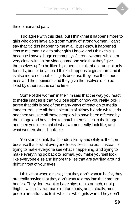the opinionated part.

 I do agree with this idea, but I think that it happens more to girls who don't have a big community of strong women. I can't say that it didn't happen to me at all, but I know it happened less to me than it did to other girls I know, and I think this is because I have a huge community of strong women who I am very close with. In the video, someone said that they "give themselves up" to be liked by others. I think this is true, not only for girls, but for boys too. I think it happens to girls more and it is also more noticeable in girls because they lose their loudness and their opinions and they give themselves up to be liked by others at the same time.

Some of the women in the film said that the way you react to media images is that you lose sight of how you really look. I agree that this is one of the many ways of reaction to media images. You see all these pictures of skinny blonde white girls and then you see all these people who have been affected by that image and have tried to match themselves to the image, and then you lose sight of what women really look like, and what women should look like.

You start to think that blonde, skinny and white is the norm because that's what everyone looks like in the ads. Instead of trying to make everyone see what's happening, and trying to make everything go back to normal, you make yourself look like everyone else and ignore the lies that are swirling around right in front of your eyes.

I think that when girls say that they don't want to be fat, they are really saying that they don't want to grow into their mature bodies. They don't want to have hips, or a stomach, or big thighs, which is a woman's mature body, and actually, most people are attracted to it, which is what girls want. They don't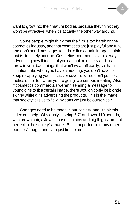want to grow into their mature bodies because they think they won't be attractive, when it's actually the other way around.

Some people might think that the film is too harsh on the cosmetics industry, and that cosmetics are just playful and fun, and don't send messages to girls to fit a certain image. I think that is definitely not true. Cosmetics commercials are always advertising new things that you can put on quickly and just throw in your bag, things that won't wear off easily, so that in situations like when you have a meeting, you don't have to keep re-applying your lipstick or cover-up. You don't put cosmetics on for fun when you're going to a serious meeting. Also, if cosmetics commercials weren't sending a message to young girls to fit a certain image, there wouldn't only be blonde skinny white girls advertising the products. This is the image that society tells us to fit. Why can't we just be ourselves?

Changes need to be made in our society, and I think this video can help. Obviously, I, being 5'7" and over 110 pounds, with brown hair, a Jewish nose, big hips and big thighs, am not perfect in the society's image. But I am perfect in many other peoples' image, and I am just fine to me.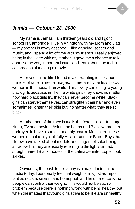# **Jamila — October 28, 2000**

My name is Jamila. I am thirteen years old and I go to school in Cambridge. I live in Arlington with my Mom and Dad — my brother is away at school. I like dancing, soccer and music, and I spend a lot of time with my friends. I really enjoyed being in the video with my mother. It gave me a chance to talk about some very important issues and learn about the technical process of making a movie.

After seeing the film I found myself wanting to talk about the role of race in media images. There are by far less black women in the media than white. This is very confusing to young black girls because, unlike the white girls they know, no matter how hard black girls try, they can never become white. Black girls can starve themselves, can straighten their hair and even sometimes lighten their skin but, no matter what, they are still black.

Another part of the race issue is the "exotic look". In magazines, TV and movies, Asian and Latina and Black women are portrayed to have a sort of unearthly charm. Most often, these women do not really look fully Asian, Latina or Black. Boys that I know have talked about models and singers of color being attractive but they are usually referring to the light skinned, straight haired Black models or the Latina Jennifer Lopez looka-likes.

Obviously, the push to be skinny is a major factor in the media today. I personally feel that weightism is just as important as racism, sexism and homophobia. The difference is that people can control their weight. This would not be such a problem because there is nothing wrong with being healthy, but when the images that young girls strive to be like are unhealthy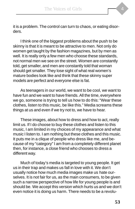it is a problem. The control can turn to chaos, or eating disorders.

I think one of the biggest problems about the push to be skinny is that it is meant to be attractive to men. Not only do women get taught by the fashion magazines, but by men as well. It is really only a few men who choose these standards, not normal men we see on the street. Women are constantly told, get smaller, and men are constantly told that woman should get smaller. They lose sight of what real women's mature bodies look like and think that these skinny super models are perfect and everyone else is fat.

As teenagers in our world, we want to be cool, we want to have fun and we want to have friends. All the time, everywhere we go, someone is trying to tell us how to do this: "Wear these clothes, listen to this music, be like this." Media screams these things at us and even if we try not to, we have to hear.

These images, about how to dress and how to act, really limit us. If I do choose to buy these clothes and listen to this music, I am limited in my choices of my appearance and what music I listen to. I am nothing but these clothes and this music. It puts me in a clique of people who dress like me, and because of my "category" I am from a completely different planet then, for instance, a close friend who chooses to dress a different way.

Much of today's media is targeted to young people. It get us in their trap and makes us fall in love with it. We don't usually notice how much media images make us hate ourselves. It is not fair for us, as the main consumers, to be given such a narrow perspective of how life for young people is and should be. We accept this version which hurts us and we don't even notice it is doing us harm. There needs to be a revolu-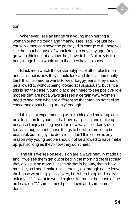#### tion!

Whenever I see an image of a young man hurting a woman or acting tough and "manly," I feel sad. Not just because women can never be portrayed in charge of themselves like that, but because of what it does to boys my age. Boys grow up thinking this is how they have to be. Not only is it a body image but a whole aura that they have to show.

Black men watch these stereotypes of other black men and think that is how they should look and dress. I personally think that if someone wants to wear baggy jeans, they should be allowed to without being looked at suspiciously, but since this is not the case, young black men need to see positive role models that are not always dressed a certain way. Women need to see men who are different so that men do not feel so concerned about being "manly" enough.

I think that experimenting with clothing and make-up can be a lot of fun for young girls. I love nail polish and make up because I enjoy seeing myself in new ways. I certainly don't feel as though I need these things to be who I am, or to be beautiful, but I enjoy the decision. I don't think there is any reason why young people should not be allowed to have make up, just so long as they know they don't need it.

The girls we see on television are always heavily made up and, if we see them get out of bed in the morning the first thing they do is put on more. Girls think that is beauty, that is how I must be, so I need make up. I certainly go through never leave the house without lip gloss fazes, but when I stop and really ask myself if I want to wear lip gloss for me, or because of the ad I saw on TV some times I put it down and sometimes I don't.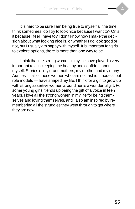It is hard to be sure I am being true to myself all the time. I think sometimes, do I try to look nice because I want to? Or is it because I feel I have to? I don't know how I make the decision about what looking nice is, or whether I do look good or not, but I usually am happy with myself. It is important for girls to explore options, there is more than one way to be.

I think that the strong women in my life have played a very important role in keeping me healthy and confident about myself. Stories of my grandmothers, my mother and my many Aunties — all of these women who are not fashion models, but role models — have shaped my life. I think for a girl to grow up with strong assertive women around her is a wonderful gift. For some young girls it ends up being the gift of a voice in teen years. I love all the strong women in my life for being themselves and loving themselves, and I also am inspired by remembering all the struggles they went through to get where they are now.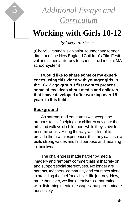

# **Working with Girls 10-12**

*by Cheryl Hirshman*

(Cheryl Hirshman is an artist, founder and former director of the New England Children's Film Festival and a media literacy teacher in the Lincoln, MA school system)

**I would like to share some of my experiences using this video with younger girls in the 10-12 age group. I first want to present some of my ideas about media and children that I have developed after working over 15 years in this field.**

#### **Background**

As parents and educators we accept the arduous task of helping our children navigate the hills and valleys of childhood, while they strive to become adults. Along the way we attempt to provide them with experiences that they can use to build strong values and find purpose and meaning in their lives.

The challenge is made harder by media imagery and rampant commercialism that rely on and support social stereotypes. No longer are parents, teachers, community and churches alone in providing the fuel for a child's life journey. Now, more than ever, we find ourselves co-parenting with disturbing media messages that predominate our society.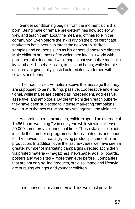Gender conditioning begins from the moment a child is born. Being male or female pre-determines how society will view and teach them about the meaning of their role in the community. Even before the ink is dry on the birth certificate, marketers have begun to target the newborn with"free" samples and coupons such as his or hers disposable diapers. Male children are most often welcomed into this world with paraphernalia decorated with images that symbolize masculinity: footballs, baseballs, cars, trucks and boats; while female children are given frilly, pastel colored items adorned with flowers and hearts.

The mood is set. Females receive the message that they are supposed to be nurturing, passive, cooperative and emotional, while males are defined as independent, aggressive, assertive, and ambitious. By the time children reach puberty they have been subjected to intense marketing campaigns, woven with themes of racism, sexism, ageism and violence.

According to recent studies, children spend an average of 1,456 hours watching TV in one year, while viewing at least 20,000 commercials during that time. These statistics do not include the number of programscartoons -- sitcoms and madefor-TV movies -- increasingly using product placement in the production. In addition, over the last few years we have seen a greater number of marketing campaigns directed at children via printed materia -- magazines, newspaper ads, billboards, posters and web sites -- more than ever before. Companies that are not only selling products, but also image and lifestyle are pursuing younger and younger children.

In response to this commercial blitz, we must provide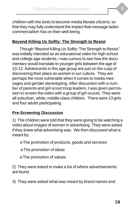children with the tools to become media literate citizens; so that they may fully understand the impact that message laden commercialism has on their well-being.

### **Beyond Killing Us Softly: The Strength to Resist**

Though "Beyond Killing Us Softly: The Strength to Resist," was initially intended as an educational video for high school and college age students, I was curious to see how the documentary would translate to younger girls between the age of 10-12. Adolescents in this age group are just on the cusp of discovering their place as women in our culture. They are perhaps the most vulnerable when it comes to media messages and gender stereotyping. After discussion with a number of parents and girl-scout troop leaders, I was given permission to screen the video with a group of girl-scouts. They were all suburban, white, middle-class children. There were 13 girls and four adults participating.

#### **Pre-Screening Discussion**

1) The children were told that they were going to be watching a video about images of women in advertising. They were asked if they knew what advertising was. We then discussed what is meant by:

◆The promotion of products, goods and services

◆The promotion of ideas

◆The promotion of values

2) They were asked to make a list of where advertisements are found.

3) They were asked what was meant by brand names and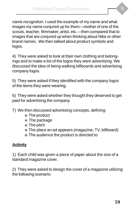name recognition. I used the example of my name and what images my name conjured up for them—mother of one of the scouts, teacher, filmmaker, artist, etc.—then compared that to images that are conjured up when thinking about Nike or other brand names. We then talked about product symbols and logos.

4) They were asked to look at their own clothing and belongings and to make a list of the logos they were advertising. We discussed the idea of being walking billboards and advertising company logos.

5) They were asked if they identified with the company logos of the items they were wearing.

6) They were asked whether they thought they deserved to get paid for advertising the company.

- 7) We then discussed advertising concepts, defining:
	- ◆ The product
	- ◆ The package
	- ◆ The pitch
	- ◆ The place an ad appears (magazine, TV, billboard)
	- ◆ The audience the product is directed to

#### **Activity**

1) Each child was given a piece of paper about the size of a standard magazine cover.

2) They were asked to design the cover of a magazine utilizing the following scenario: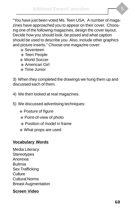"You have just been voted Ms. Teen USA. A number of magazines have approached you to appear on their cover. Choosing one of the following magazines, design the cover layout. Decide how you should look, be posed and what caption should be used to describe you. Also, include other graphics and picture inserts." Choose one magazine cover:

- ◆ Seventeen
- ◆ Teen People
- ◆ World Soccer
- ◆ American Girl
- ◆ Time Junior

3) When they completed the drawings we hung them up and discussed each of them.

- 4) We then looked at real magazines.
- 5) We discussed advertising techniques:
	- ◆ Posture of figure
	- ◆ Point-of-view of photo
	- ◆ Position of model in frame
	- ◆ What props are used

#### **Vocabulary Words**

Media Literacy **Stereotypes** Anorexia Bulimia Sex Trafficking **Culture** Cultural Norms Breast Augmentation

#### **Screen Video**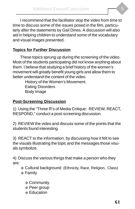I recommend that the facilitator stop the video from time to time to discuss some of the issues posed in the film, particularly after the statements by Gail Dines. A discussion will also aid in helping children to understand some of the vocabulary and visual images presented.

#### **Topics for Further Discussion**

These topics sprung up during the screening of the video. Most of the students participating did not know anything about them. I believe that studying a brief history of the women's movement will greatly benefit young girls and allow them to better understand the content of the video.

> History of the Women's Movement. Eating Disorders Body Image

#### **Post-Screening Discussion**

1) Using the "Three R's of Media Critique: REVIEW, REACT, RESPOND," conduct a post-screening discussion.

2) REVIEW the video and discuss some of the points that the students found interesting.

3) REACT to the information, by discussing how it felt to see the visuals illustrating the topic and the messages those visuals symbolize.

4) Discuss the various things that make a person who they are:

- ◆ Cultural background (Ethnicity, Race, Religion, Class)
- ◆ Family
	- ◆ Community
	- ◆ Peer group
	- ◆ Education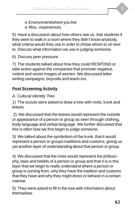- ◆ Environment/where you live
- ◆ Misc. experiences

5) Have a discussion about how others see us. Ask students if they were to walk in a room where they didn't know anybody, what criteria would they use in order to chose whom to sit next to. Discuss what information we use in judging someone.

6) Discuss peer pressure.

7) The students talked about how they could RESPOND or take action against the companies that promote negative, violent and sexist images of women. We discussed letter writing campaigns, boycotts and teach-ins.

# **Post Screening Activity**

### A. Cultural Identity Tree

1) The scouts were asked to draw a tree with roots, trunk and leaves.

 2) We discussed that the leaves would represent the outside or appearance of a person or group as seen through clothing, body language and verbal language. We further discussed that this is often how we first begin to judge someone.

3) We talked about the symbolism of the trunk, that it would represent a person or groups traditions and customs, giving us yet another layer of understanding about that person or group.

4) We discussed that the roots would represent the philosophy, laws and beliefs of a person or group and that it is in this layer that we begin to really understand where a person or group is coming from, why they have the tradition and customs that they have and why they might dress or behave in a certain manner.

5) They were asked to fill in the tree with information about themselves.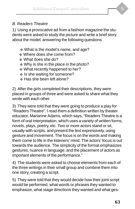#### B. Readers Theatre

1) Using a provocative ad from a fashion magazine the students were asked to study the picture and write a brief story about the model, answering the following questions:

- ◆ What is the model's name, and age?
- ◆ Where does she come from?
- ◆ What does she do?
- ◆ Why is she in the place in the photo?
- ◆ What recently happened to her?
- ◆ Is she waiting for someone?
- ◆ Has she been left alone?

2) After the girls completed their descriptions, they were placed in groups of three and were asked to share what they wrote with each other.

3) They were told that they were going to produce a play for "Readers Theatre". I read them a definition written by theater educator, Marianne Adams, which says, "Readers Theatre is a form of oral interpretation, which uses a variety of written forms, novels, plays, poetry, etc. Two or more actors stand or sit, usually with scripts, and present the text expressively, using gesture and movement. The focus is on the words and making them come to life in the listeners' mind. The actors' focus is out towards the audience. The simplicity of the format emphasizes gestures, nuance in language, and the placement of actors as important elements of the performance."

4) The students were asked to choose elements from each of the three writings in their small group and combine them into one story, creating a script.

5) They were told that they would decide how their joint script would be performed, what words or phrases they wanted to emphasize, what stage directions they wanted and what ges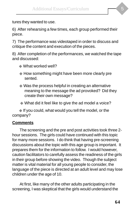tures they wanted to use.

6) After rehearsing a few times, each group performed their piece.

7) The performance was videotaped in order to discuss and critique the content and execution of the pieces.

8) After completion of the performances, we watched the tape and discussed:

- ◆ What worked well?
- ◆ How something might have been more clearly pre sented.
- ◆ Was the process helpful in creating an alternative meaning to the message the ad provoked? Did they create their own message?
- ◆ What did it feel like to give the ad model a voice?

◆ If you could, what would you tell the model, or the company?

#### **Comments**

The screening and the pre and post activities took three 2 hour sessions. The girls could have continued with this topic for many more sessions. I do think that having pre-screening discussions about the topic with this age group is important. It prepares them for the information to follow. I would however, caution facilitators to carefully assess the readiness of the girls in their group before showing the video. Though the subject matter is vital material for all young people to consider, the language of the piece is directed at an adult level and may lose children under the age of 10.

At first, like many of the other adults participating in the screening, I was skeptical that the girls would understand the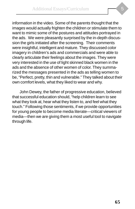information in the video. Some of the parents thought that the images would actually frighten the children or stimulate them to want to mimic some of the postures and attitudes portrayed in the ads. We were pleasantly surprised by the in-depth discussion the girls initiated after the screening. Their comments were insightful, intelligent and mature. They discussed color imagery in children's ads and commercials and were able to clearly articulate their feelings about the images. They were very interested in the use of light skinned black women in the ads and the absence of other women of color. They summarized the messages presented in the ads as telling women to be, "Perfect, pretty, thin and vulnerable." They talked about their own comfort levels, what they liked to wear and why.

John Dewey, the father of progressive education, believed that successful education should, "help children learn to see what they look at, hear what they listen to, and feel what they touch." Following those sentiments, if we provide opportunities for young people to become media literate—critical viewers of media—then we are giving them a most useful tool to navigate through life.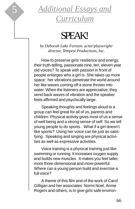

# 5 *Additional Essays and Curriculum*

# SPEAK!

*by Deborah Lake Fortson. actor/playwright/ director, Tempest Productions, Inc.*

How to preserve girls' resilience and energy, their truth-telling, passionate nine, ten, eleven year old voices? To speak with passion in front of people enlarges who a girl is. She takes up more space: her vibrations penetrate the world around her like waves coming off a stone thrown into water. When the listeners are appreciative, they send back waves of vibration and the speaker feels affirmed and psychically large.

Speaking thoughts and feelings aloud to a group can feel great for all of us, parents and children. Physical activity gives most of us a sense of well being and a strong sense of self. So we tell young people to do sports. What if a girl doesn't like sports? Using her voice can be just as satisfying. Speaking and singing are physical activities as well as expressive activities.

Voice training is a physical training just like swimming or running. It increases oxygen supply and builds new muscles. It makes you feel taller, more three-dimensional and more powerful. Where can a young person build and exercise a full voice?

A theme of this film and of the work of Carol Gilligan and her associates Normi Noel, Annie Rogers and others, is to give girls safe environ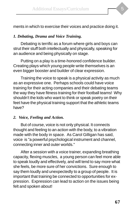ments in which to exercise their voices and practice doing it.

#### *1. Debating, Drama and Voice Training.*

Debating is terrific as a forum where girls and boys can strut their stuff both intellectually and physically, speaking for an audience and being physically on stage.

Putting on a play is a time-honored confidence builder. Creating plays which young people write themselves is an even bigger booster and builder of clear expression.

Training the voice to speak is a physical activity as much as an expressive one. Perhaps schools could have voice training for their acting companies and their debating teams the way they have fitness training for their football teams! Why shouldn't the kids who want to think or speak poetry on their feet have the physical training support that the athletic teams have?

#### *2. Voice, Feeling and Action.*

But of course, voice is not only physical. It connects thought and feeling to an action with the body, to a vibration made with the body in space. As Carol Gilligan has said, voice is "a powerful psychological instrument and channel, connecting inner and outer worlds."

After a session with a voice trainer, expanding breathing capacity, flexing muscles, a young person can feel more able to speak loudly and effectively, and will tend to say more what she feels, be more sure of her convictions. Sure enough to say them loudly and unexpectedly to a group of people. It is important that training be connected to opportunities for expression. Expression can lead to action on the issues being felt and spoken about!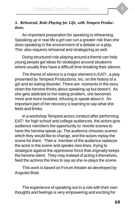

#### *3. Rehearsal, Role-Playing for Life, with Tempest Productions.*

An important preparation for speaking is rehearsing. Speaking up in real life a girl can run a greater risk than she does speaking in the environment of a debate or a play. This also requires rehearsal and strategizing as well.

Doing structured role-playing around a theme can help young people get ideas for strategies around situations where usually they have a difficult time breaking their silence.

The theme of silence is a major element in EAT! , a play presented by Tempest Productions, Inc. on the history of a girl and an eating disorder. There are moments in the story when the heroine thinks about speaking up but doesn't. As she gets addicted to her eating problem, she becomes more and more isolated, refusing to speak about it. An important part of her recovery is learning to say what she feels and thinks.

In a workshop Tempest actors conduct after performing EAT! for high school and college audiences, the actors give audience members the opportunity to rewrite scenes to have the heroine speak up. The audience chooses scenes which they would like to change, and the actors replay the scene for them. Then a member of the audience replaces the actor in the scene and speaks new lines, trying to strategize against the oppressive force that originally keeps the heroine silent. They may instead of acting it themelves, feed the actress the lines to say as she re-plays the scene.

This work is based on Forum theater as developed by Augusto Boal.

The experience of speaking out in a role with their own thoughts and feelings is very empowering and exciting for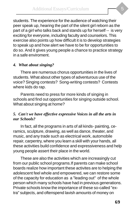students. The experience for the audience of watching their peer speak up, hearing the part of the silent girl reborn as the part of a girl who talks back and stands up for herself -- is very exciting for everyone, including faculty and counselors. This exercise also points up how difficult it is to develop strategies to speak up and how alert we have to be for opportunities to do so. And it gives young people a chance to practice strategy in a safe enviroment.

#### *4. What about singing?*

There are numerous chorus opportunities in the lives of students. What about other types of adventurous use of the voice? Singing contests? Song-writing contests? Contests where kids do rap.

Parents need to press for more kinds of singing in schools and find out opportunities for singing outside school. What about singing at home?

#### *5. Can't we have effective expressive Voices in all the arts in our Schools?*

In fact, all the programs in arts of all kinds- painting, ceramics, sculpture, drawing, as well as dance, theater, and music, and any trade such as electrical work, automobile repair, carpentry, where you learn a skill with your hands, all these activities build confidence and expressiveness and help young people assert their place in the world.

These are also the activities which are increasingly cut from our public school programs.If parents can make school boards realize how important these activites are to helping the adolescent feel whole and empowered, we can restore some of the capacity for education as a "leading out" of the whole person which many schools have had in previous generations. Private schools know the importance of these so-called "extra" subjects, and oftenspend lavish amounts of money on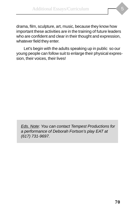drama, film, sculpture, art, music, because they know how important these activities are in the training of future leaders who are confident and clear in their thought and expression, whatever field they enter.

Let's begin with the adults speaking up in public so our young people can follow suit to enlarge their physical expression, their voices, their lives!

**Eds. Note: You can contact Tempest Productions for** a performance of Deborah Fortson's play EAT at (617) 731-9697.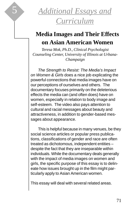

# 5 *Additional Essays and Curriculum*

# **Media Images and Their Effects on Asian American Women**

*Teresa Mok, Ph.D., Clinical Psychologist Counseling Center, University of Illinois at Urbana-Champaign*

The Strength to Resist: The Media's Impact on Women & Girls does a nice job explicating the powerful connections that media images have on our perceptions of ourselves and others. The documentary focuses primarily on the deleterious effects the media can (and often does) have on women, especially in relation to body image and self-esteem. The video also pays attention to cultural and racial messages about beauty and attractiveness, in addition to gender-based messages about appearance.

This is helpful because in many venues, be they social science articles or popular press publications, classifications of gender and race are often treated as dichotomous, independent entities – despite the fact that they are inseparable within individuals. While the documentary deals generally with the impact of media images on women and girls, the specific purpose of this essay is to delineate how issues brought up in the film might particularly apply to Asian American women.

This essay will deal with several related areas.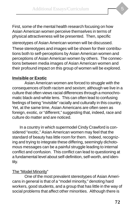First, some of the mental health research focusing on how Asian American women perceive themselves in terms of physical attractiveness will be presented. Then, specific

stereotypes of Asian American women will be discussed. These stereotypes and images will be shown for their contributions both to self-perceptions by Asian American women and perceptions of Asian American women by others. The connections between media images of Asian American women and their profound impact on this group of women will be explored.

#### **Invisible or Exotic**

Asian American women are forced to struggle with the consequences of both racism and sexism; although we live in a culture that often views racial differences through a monochromatic black-and-white lens. This can often lead to confusing feelings of being "invisible" racially and culturally in this country. Yet, at the same time, Asian Americans are often seen as foreign, exotic, or "different," suggesting that, indeed, race and culture do matter and are noticed.

In a country in which supermodel Cindy Crawford is considered "exotic," Asian American women may feel that the standard of beauty has little room for them. Indeed, recognizing and trying to integrate these differing, seemingly dichotomous messages can be a painful struggle leading to internal conflict and confusion. This conflict can lead to questioning at a fundamental level about self-definition, self-worth, and identity.

#### The "Model Minority"

One of the most prevalent stereotypes of Asian Americans in general is that of a "model minority," denoting hard workers, good students, and a group that has little in the way of social problems that affect other minorities. Although there is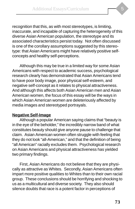recognition that this, as with most stereotypes, is limiting, inaccurate, and incapable of capturing the heterogeneity of this diverse Asian American population, the stereotype and its associated characteristics persist today. Not often discussed is one of the corollary assumptions suggested by this stereotype: that Asian Americans might have relatively positive selfconcepts and healthy self-perceptions.

Although this may be true in a limited way for some Asian Americans with respect to academic success, psychological research clearly has demonstrated that Asian Americans tend to have poor body image, poor physical self-esteem, and negative self-concept as it relates to physical attractiveness. And although this affects both Asian American men and Asian American women, the focus of this essay will be the ways in which Asian American women are deleteriously affected by media images and stereotyped portrayals.

## **Negative Self-Image**

Although a popular American saying claims that "beauty is in the eye of the beholder," the incredibly narrow band of what constitutes beauty should give anyone pause to challenge that claim. Asian American women often struggle with feeling that they do not look "all-American," and that the definition of being "all American" racially excludes them. Psychological research on Asian Americans and physical attractiveness has yielded two primary findings.

First, Asian Americans do not believe that they are physically as attractive as Whites. Secondly, Asian Americans often impart more positive qualities to Whites than to their own racial group. These conclusions should be horrifying and shocking to us as a multicultural and diverse society. They also should silence doubts that race is a potent factor in perceptions of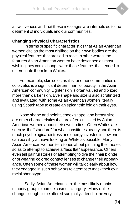attractiveness and that these messages are internalized to the detriment of individuals and our communities.

## **Changing Physical Characteristics**

In terms of specific characteristics that Asian American women cite as the most disliked on their own bodies are the physical features that are tied to race. In other words, the features Asian American women have described as most wishing they could change were those features that tended to differentiate them from Whites.

For example, skin color, as it is for other communities of color, also is a significant determinant of beauty in the Asian American community. Lighter skin is often valued and prized more than darker skin. Eye shape and size is also scrutinized and evaluated, with some Asian American women literally using Scotch tape to create an epicanthic fold on their eyes.

Nose shape and height, cheek shape, and breast size are other characteristics that are often criticized by Asian American women about their own bodies. Often Whites are seen as the "standard" for what constitutes beauty and there is much psychological distress and energy invested in how one can possibly achieve looking as White as possible. Many Asian American women tell stories about pinching their noses so as to attempt to achieve a "less flat" appearance. Others even tell painful stories of attempting to dye their hair blonde or of wearing colored contact lenses to change their appearance. Often some of these women will talk clearly about how they engaged in such behaviors to attempt to mask their own racial phenotype.

Sadly, Asian Americans are the most likely ethnic minority group to pursue cosmetic surgery. Many of the changes sought to be altered surgically attend to the very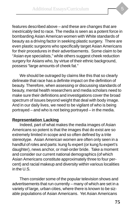features described above – and these are changes that are inextricably tied to race. The media is seen as a potent force in bombarding Asian American women with White standards of beauty as a driving factor in seeking plastic surgery. There are even plastic surgeons who specifically target Asian Americans for their procedures in their advertisements. Some claim to be "Asian eye specialists," while others suggest cheek reduction surgery for Asians who, by virtue of their ethnic background, possess "large amounts of cheek fat."

We should be outraged by claims like this that so clearly delineate that race has a definite impact on the definition of beauty. Therefore, when assessing or discussing standards of beauty, mental health researchers and media scholars need to make sure their definitions and investigations cover the broad spectrum of issues beyond weight that deal with body image. And in our daily lives, we need to be vigilant of who is being portrayed – and who is not being portrayed – in the media.

## **Representation Lacking**

Indeed, part of what makes the media images of Asian Americans so potent is that the images that do exist are so extremely limited in scope and so often defined by a trite stereotype. Asian American women are often only seen in a handful of roles and parts: kung fu expert (or kung fu expert's daughter), news anchor, or mail-order bride. Take a moment and consider our current national demographics (of which Asian Americans constitute approximately three to four percent) and racial makeup and diversity within various localities in the U.S.

Then consider some of the popular television shows and advertisements that run currently – many of which are set in a variety of large, urban cities, where there is known to be sizable populations of Asian Americans. Yet Asian Americans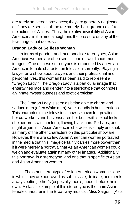are rarely on-screen presences; they are generally neglected or if they are seen at all the are merely "background color" to the actions of Whites. Thus, the relative invisibility of Asian Americans in the media heightens the pressure on any of the few images that do exist.

### **Dragon Lady or Selfless Woman**

In terms of gender- and race-specific stereotypes, Asian American women are often seen in one of two dichotomous images. One of these stereotypes is embodied by an Asian American female character on television currently. Playing a lawyer on a show about lawyers and their professional and personal lives, this woman has been said to represent a "Dragon Lady." The Dragon Lady is a particular image that entertwines race and gender into a stereotype that connotes an innate mysteriousness and exotic eroticism.

The Dragon Lady is seen as being able to charm and seduce men (often White men), yet is deadly in her intentions. This character in the television show is known for growling at her co-workers and has ensnared her boss with sexual tricks she performs with her long, flowing black hair. Perhaps, one might argue, this Asian American character is simply unusual, as many of the other characters on this particular show are. However, there are so few Asian American women portrayed in the media that this image certainly carries more power than if it were merely a portrayal that Asian American women could weigh and evaluate against many other images. Additionally, this portrayal is a stereotype, and one that is specific to Asian and Asian American women.

The other stereotype of Asian American women is one in which they are portrayed as submissive, delicate, and meek, always putting other's (especially men's) needs before their own. A classic example of this stereotype is the main Asian female character in the Broadway musical, Miss Saigon. (As a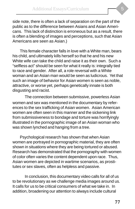side note, there is often a lack of separation on the part of the public as to the difference between Asians and Asian Americans. This lack of distinction is erroneous but as a result, there is often a blending of images and perceptions, such that Asian Americans are seen as Asian.)

This female character falls in love with a White man, bears his child, and ultimately kills herself so that he and his new White wife can take the child and raise it as their own. Such a "selfless act" should be seen for what it really is: integrally tied to race and gender. After all, a role reversal with a White woman and an Asian man would be seen as ludicrous. Yet that such an image of behavior for Asian women is seen as noble, attractive, or worse yet, perhaps genetically innate is both disgusting and racist.

The connection between submissive, powerless Asian women and sex was mentioned in the documentary by references to the sex trafficking of Asian women. Asian American women are often seen in this manner and the sickening link from submissiveness to bondage and torture was horrifyingly illustrated in the pornographic image of an Asian woman who was shown lynched and hanging from a tree.

Psychological research has shown that when Asian women are portrayed in pornographic material, they are often shown in situations where they are being tortured or abused. Research has demonstrated that the pornography with women of color often varies the content dependent upon race. Thus, Asian women are depicted in wartime scenarios, as prostitutes or sex slaves, often as helpless and passive.

In conclusion, this documentary video calls for all of us to be revolutionary as we challenge media images around us. It calls for us to be critical consumers of what we take in. In addition, broadening our attention to always include cultural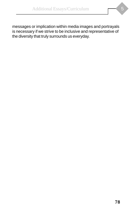messages or implication within media images and portrayals is necessary if we strive to be inclusive and representative of the diversity that truly surrounds us everyday.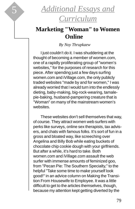

## **Marketing "Woman" to Women Online**

*By Noy Thrupkaew*

I just couldn't do it. I was shuddering at the thought of becoming a member of women.com, one of a rapidly proliferating group of "women's websites," for the purposes of research for this piece. After spending just a few days surfing women.com and iVillage.com, the only publicly traded websites "made by and for women," I was already worried that I would turn into the endlessly dieting, baby-making, big-rock-wearing, tamalepie-baking, husband-pampering creature that is "Woman" on many of the mainstream women's websites.

These websites don't sell themselves that way, of course. They attract women web surfers with perks like surveys, online sex therapists, tax advisers, and chats with famous folks. It's sort of fun in a gross and bloated way, like screeching over Angelina and Billy Bob while eating buckets of chocolate chip cookie dough with your girlfriends. But after a while, it's hard to take. Both women.com and iVillage.com assault the web surfer with immense amounts of feminized goo, from "Pecan Pie: The Southern Specialty," to the helpful "Take some time to make yourself look good!" in an advice column on Making the Transition From Housewife to Employee. It was a little difficult to get to the articles themselves, though, because my attention kept getting diverted by the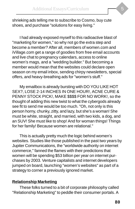shrieking ads telling me to subscribe to Cosmo, buy cute shoes, and purchase "solutions for easy living."

I had already exposed myself to this radioactive blast of "marketing for women," so why not go the extra step and become a member? After all, members of women.com and iVillage.com get a range of goodies from free email accounts and live chat to pregnancy calendars, access to online women's mags, and a "wedding builder." But becoming a member would mean that the websites could declare open season on my email inbox, sending chirpy newsletters, special offers, and heavy-breathing ads for "women's stuff."

My emailbox is already bursting with DO YOU LIKE HOT SEX?, LOSE 2-14 INCHES IN ONE HOUR!, ACNE CURE & PENNY STOCK PICK!, MAKE \$\$\$\$ FOR NO WORK!, so the thought of adding this new twist to what the cybergods already see fit to send me would be too much. "Oh, not only is this person horny, chunky, zitty, and lazy, but she's a woman! She must be white, straight, and married, with two kids, a dog, and an SUV! She must like to shop! And for woman things! Things for her family! Because women are relational."

This is actually pretty much the logic behind women's websites. Studies like those published in the past two years by Jupiter Communications, the "worldwide authority on internet commerce," fanned the flames with their predictions that women will be spending \$53 billion per year on internet purchases by 2003. Venture capitalists and internet developers jumped on board, launching "women's websites" as part of a strategy to corner a previously ignored market.

### **Relationship Marketing**

These folks turned to a bit of corporate philosophy called "Relationship Marketing" to peddle their consumer portals. A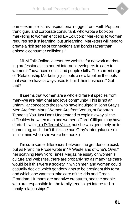prime example is this inspirational nugget from Faith Popcorn, trend guru and corporate consultant, who wrote a book on marketing to women entitled EVEolution: "Marketing to women requires not just learning, but unlearning. Marketers will need to create a rich series of connections and bonds rather than episodic consumer collisions."

MLM Talk Online, a resource website for network marketing professionals, exhorted internet developers to cater to women's "advanced social and people skills. The current rage of `Relationship Marketing' just puts a new label on the tools that women have always used to build their business." Got that?

It seems that women are a whole different species from men--we are relational and love community. This is not an unfamiliar concept to those who have indulged in John Gray's Men Are from Mars, Women Are from Venus, or Deborah Tannen's You Just Don't Understand to explain away all the difficulties between men and women. (Carol Gilligan may have started it with In a Different Voice, but she was genuinely on to something, and I don't think she had Gray's intergalactic sexism in mind when she wrote her book.)

I'm sure some differences between the genders do exist, but as Francine Prose wrote in "A Wasteland of One's Own," her scathing New York Times Magazine essay on women's culture and websites, there are probably not as many "as there would be if this were a society in which men and women could casually decide which gender wants to be president this term, and which one wants to take care of the kids and Great-Grandma. Humans are adaptive creatures, and the people who are responsible for the family tend to get interested in family relationships."

**81**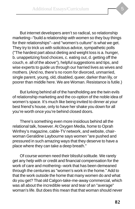But internet developers aren't so radical, so relationship marketing--"build a relationship with women so they buy things for their relationships"--and "women's culture" is what we get. They try to trick us with solicitous advice, sympathetic polls ("The hardest part about dieting and weight loss is a. hunger, b. unappetizing food choices, c. eating out, d. getting off the couch, e. all of the above"), helpful suggestions and tips, and wise experts to guide us through our harried lives as wives and mothers. (And no, there's no room for divorced, unmarried, single parent, young, old, disabled, queer, darker than lily, or poorer than middle here. We are Woman. Resistance is futile.)

But lurking behind all of the handholding are the twin evils of relationship marketing and the co-option of the noble idea of women's space. It's much like being invited to dinner at your best friend's house, only to have her shake you down for all you're worth once you're behind closed doors.

There's something even more insidious behind all the relational talk, however. At Oxygen Media, home to Oprah Winfrey's magazine, cable-TV network, and website, chairwoman Geraldine Laybourne says women "are pushed and pressured in such amazing ways that they deserve to have a place where they can take a deep breath."

Of course women need their blissful solitude. We rarely get any help with or credit and financial compensation for the work of care and mothering--work that has been demeaned through the centuries as "women's work in the home." Add to that the work outside the home that many women do and what do you get? That old Calgon-take-me-away commercial, which was all about the incredible wear and tear of an "average" woman's life. But does this mean that that woman should never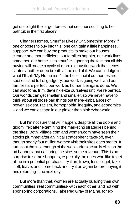get up to fight the larger forces that sent her scuttling to her bathtub in the first place?

Cleaner Homes, Smurfier Lives? Or Something More? If one chooses to buy into this, one can gain a little happiness, I suppose. We can buy the products to make our houses cleaner and more efficient, our families happier, our work lives smoother, our home lives smurfier--ignoring the fact that all this buying will create a cycle of more exhausting work that necessitates another deep breath at the end of it. We can indulge in what I'll call "My Home-ism"--the belief that if our homes are spotless and full of gadgetry, our work is going well, and our families are perfect, our work as human beings is done. We can also tone, trim, dewrinkle-ize ourselves until we're perfect. Our worlds can get smaller and smaller, so we never have to think about all those bad things out there--imbalances of power, sexism, racism, homophobia, inequity, and economics -- and we can escape in our pinker than pink cyberworld.

But I'm not sure that will happen, despite all the doom and gloom I felt after examining the marketing strategies behind the sites. Both iVillage.com and women.com have seen their stocks plummet after an initial stratospheric take-off, even though nearly four million women visit their sites each month. It turns out that not enough of the web surfers actually click on the ad banners that can bring the sites some revenue. This is no surprise to some shoppers, especially the ones who like to get all up in a potential purchase, try it on, frown, fuss, fidget, take it off, leave, and come back and try it on again before buying it and returning it the next day.

But more than that, women are actually building their own communities, real communities--with each other, and not with sponsoring corporations. Take Peg Gray of Maine, for ex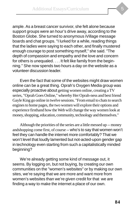ample. As a breast cancer survivor, she felt alone because support groups were an hour's drive away, according to the Boston Globe. She turned to anonymous iVillage message boards and chat groups. "I lurked for a while, reading things that the ladies were saying to each other, and finally mustered enough courage to post something myself," she said. "The depth of compassion and empathy and the love and concern for others is unequaled. . . . It felt like family from the beginning." She now spends two hours a day on the website as a volunteer discussion leader.

Even the fact that some of the websites might draw women online can be a great thing. Oprah's Oxygen Media group was especially proactive about getting women online, creating a TV series, "Oprah Goes Online," whereby Her Oprah-ness and best friend Gayle King go online in twelve sessions. "From email to chats to search engines to home pages, the two women will explore their options and experience firsthand how the Web will change the way women look at money, shopping, education, community, technology and themselves."

Although the priorities of the series are a little messed up -- money andshopping come first, of course -- who's to say that women won't feel they can handle the internet more comfortably? That we won't level that loudly lamented but not-acted-upon gender gap in technology even starting from such a capitalistically minded beginning?

We're already getting some kind of message out, it seems. By logging on, but not buying, by creating our own communities on the "women's websites" or by making our own sites, we're saying that we are more and want more from women's websites than we're given credit for that we are finding a way to make the internet a place of our own.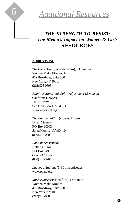

## *THE STRENGTH TO RESIST: The Media's Impact on Women & Girls* **RESOURCES**

#### **AUDIOVISUAL**

*The Body Beautiful* (video/film), 23 minutes Women Make Movies, Inc. 462 Broadway, Suite 500 New York, NY 10013 (212) 925-0606

*Ethnic Notions* and *Color Adjustment (2 videos)* California Newsreel 149 9<sup>th</sup> Street San Francisco, CA 94103 www.newsreel.org

*The Famine Within* (video), 2 hours Direct Cinema P.O. Box 10003 Santa Monica, CA 90410 (800) 525-0000

*Fat Chance* (video) Bullfrog Films P.O. Box 149 Oley, PA 19547 (800) 543-3764

*Images of Indians* (5-30 min episodes) www.oyate.org

*Mirror Mirror* (video/film), 17 minutes Women Make Movies 462 Broadway, Suite 500 New York, NY 10013 (212) 925-060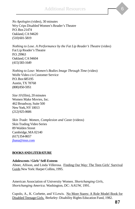*No Apologies* (video), 30 minutes Wry Crips Disabled Women's Reader's Theatre P.O. Box 21474 Oakland, CA 94620 (510) 601-5819

*Nothing to Lose. A Performance by the Fat Lip Reader's Theatre* (video) Fat Lip Reader's Theatre P.O. 29963 Oakland, CA 94604 (415) 583-1649

*Nothing to Lose: Women's Bodies Image Through Time* (video) Wolfe Video c/o Customer Service P.O. Box 685195 Austin, TX 78768 (800) 850-5951

*Size 10* (film), 20 minutes Women Make Movies, Inc. 462 Broadway, Suite 500 New York, NY 10013 (212) 925-0606

*Skin Trade: Women, Complexion and Caste* (videos) Skin Trading Video Series 89 Walden Street Cambridge, MA 02140 (617) 354-8657 jhana@msn.com

#### **BOOKS AND LITERATURE**

#### **Adolescents / Girls' Self-Esteem**

Abner, Allison, and Linda Villerosa. Finding Our Way: The Teen Girls' Survival Guide.New York: Harper Collins, 1995.

American Association of University Women. *Shortchanging Girls, Shortchanging America*. Washington, DC: AAUW, 1991.

Cupolo, A., K. Corbette, and V.Lewis. No More Stares: A Role Model Book for Disabled Teenage Girls. Berkeley: Disability Rights Education Fund, 1982.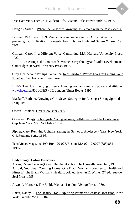Dee, Catherine. The Girl's Guide to Life. Boston: Little, Brown and Co., 1997.

Douglas, Susan J. Where the Girls are: Growing Up Female with the Mass Media.

Doswell, W.M., et al. (1998) Self-image and self-esteem in African American preteen girls: Implications for mental health. *Issues in Mental Health Nursing*, 19: 71-94.

Gilligan, Carol. In a Different Voice. Cambridge, MA: Harvard University Press, 1982.

\_\_\_\_\_\_\_. Meeting at the Crossroads: Women's Psychology and Girl's Development. Cambridge: Harvard University Press, 1992.

Gray, Heather and Phillips, Samantha. Real Girl/Real World: Tools for Finding Your True Self. San Francisco, Seal Press.

HUES (Hear Us Emerging Sisters): A young woman's guide to power and attitude. www.hues.net, 800-HUES-4U2.London: Times Books. 1995.

Mackoff, Barbara. Growing a Girl: Seven Strategies for Raising a Strong Spirited Daughter.

Odean, Kathleen. Great Books for Girls.

Orenstein, Peggy. Schoolgirls: Young Women, Self-Esteem and the Confidence Gap. New York, NY: Doubleday, 1994.

Pipher, Mary. Reviving Ophelia: Saving the Selves of Adolescent Girls. New York: G.P. Putnams Sons, 1994.

Teen Voices Magazine. P.O. Box 120-027, Boston, MA 02112-0027 (888) 882- TEEN.

### **Body Image / Eating Disorders**

Atkins, Dawn. Looking Queer. Binghamton NY: The Haworth Press, Inc., 1998. Arnold, Georgina. "Coming Home: One Black Woman's Journey to Health and Fitness." The Black Woman's Health Book. ed. Evelyn C. White. 2<sup>nd</sup> ed. Seattle: Seal Press, 1995.

Atwood, Margaret. The Edible Woman. London: Verago Press, 1989.

Baker, Nancy C. The Beauty Trap: Exploring Woman's Greatest Obsession. New York: Franklin Watts, 1984.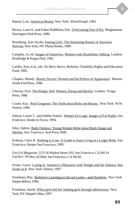

Banner, Lois. American Beauty. New York: Alfred Knopf, 1983.

Brown, Laura S., and Esther Rothblum, Eds. Overcoming Fear of Fat. Binghamton: Harrington Park Press, 1989.

Brumberg, Joan Jacobs. Fasting Girls: The Surprising History of Anorexia Nervosa. New York, NY: Plume Books, 1989.

Camplin, Jo, ed. Images of Ourselves: Women with Disabilities Talking. London: Routledge & Kegan Paul, 1981.

Carillo, Ann, et al., eds. *No More Stares*. Berkeley: Disability Rights and Education Fund, 1982.

Chapkis, Wendy. Beauty Secrets: Women and the Politics of Appearance. Boston: South End Press, 1986.

Chernin, Kim. The Hungry Self: Women, Eating and Identity. London: Virago Press, 1986.

Cooke, Kaz. Real Gorgeous: The Truth about Body and Beauty. New York: W.W. Norton, 1996.

Edison, Laurie T., and Debbie Notkin. Women En Large: Images of Fat Nudes. San Francisco: Books in Focus, 1994.

Edut, Ophira. Body Outlaws: Young Women Write about Body Image and Identity. San Francisco, Seal Press 2000.

Erdman, Cheri K. Nothing to Lose: A Guide to Sane Living in a Larger Body. San Francisco: Harper San Francisco, 1995

*Fat Girl Magazine*: 2215-R Market Street 193; San Francisco, CA 94114 *Fat!So?*: PO Box 423464; San Francisco, CA 94142.

Fraser, Laura. Losing It: America's Obsession with Weight and the Industry that Feeds on It. New York: Dutton, 1997.

Freedman, Rita. Bodylove: Learning to Like our Looks—and Ourselves. New York: Harper &Row, 1990.

Friedman, Sandy. When girls feel fat: helping girls through adolescence. New York, NY: HarperCollins, 1997.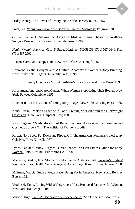

Friday, Nancy. The Power of Beauty. New York: HarperCollins, 1996.

Frost, Liz. Young Women and the Body: A Feminist Sociology. Palgrave, 2000.

Gilman, Sander L. Making the Body Beautiful: A Cultural History of Aesthetic Surgery. Princeton: Princeton Univeristy Press, 1999.

*Healthy Weight Journal*: 402 145<sup>th</sup> Street; Hettinger, ND 58639; (701) 567-2646; Fax: (701) 567-2602

Herron, Carolivia. Nappy Hair. New York: Alfred A. Knopf, 1997.

Heywood, Leslie. Bodymakers: A Cultural Anatomy of Women's Body Building. New Brunswick: Rutgers University Press, 1998.

. Pretty Good for a Girl: An Athlete's Story. New York: Free Press, 1998.

Hirschman, Jane, and Carol Munter. When Women Stop Hating Their Bodies. New York: Fawcett Columbine, 1995.

Hutchinson, Marcia G. Transforming Body Image. New York: Crossing Press, 1985.

Kano, Susan. Making Peace with Food: Freeing Yourself from the Diet/Weight Obsession. New York: Harper & Row, 1989.

Kaw, Eugenia. "Medicalization of Racial Features: Asian American Women and Cosmetic Surgery." In The Politics of Women's Bodies.

Kinzer, Nora Scott. Put Down and Ripped Off: The American Woman and the Beauty Cult. New York: Crowell, 1977.

Lyons, Pat, and Debby Burgard. Great Shape: The First Fitness Guide for Large Women. Palo Alto: Bull Publishing Co., 1990.

Miedema, Baukje, Janet Stoppard, and Vivienne Anderson, eds. Women's Bodies/ Women's Lives: Health, Well-Being and Body Image. Toronto Sumach Press 2000.

Millman, Marcia. Such a Pretty Face: Being Fat in America. New York: Berkley Books, 1981.

Modleski, Tania. Loving With a Vengeance: Mass-Produced Fantasies for Women. New York: Routledge, 1984.

Muscio, Inga. Cunt: A Declaration of Independence. San Francisco: Seal Press.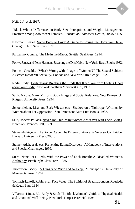Neff, L.J., et al. 1997.

"Black-White: Differences in Body Size Perceptions and Weight Management Practices among Adolescent Females." *Journal of Adolescent Health*, 20: 459-465.

Newman, Leslea. Some Body to Love: A Guide to Loving the Body You Have. Chicago: Third Side Press, 1991.

Panzarino, Connie. The Me in the Mirror. Seattle: Seal Press, 1994.

Polivy, Janet, and Peter Herman. Breaking the Diet Habit. New York: Basic Books,1983.

Pollock, Griselda. "What's Wrong with 'Images of Women'?" The Sexual Subject: A Screen Reader in Sexuality. London and New York: Routledge, 1992.

Rodin, Judy. Body Traps: Breaking the Binds that Keep You from Feeling Good about Your Body. New York: William Morrow & Co., 1992.

Sault, Nicole. Many Mirrors: Body Image and Social Relations. New Brunswick: Rutgers University Press, 1994.

Schoenfielder, Lisa, and Barb Wieser, eds. Shadow on a Tightrope: Writings by Women about Fat Oppression. San Francisco: Aunt Lute Books, 1983.

Seid, Roberta Pollack. Never Too Thin: Why Women Are at War with Their Bodies. New York: Prentice-Hall, 1989.

Steiner-Adair, et al. The Golden Cage: The Enigma of Anorexia Nervosa. Cambridge: Harvard University Press, 2001.

Steiner-Adair, et al., eds. Preventing Eating Disorders : A Handbook of Interventions and Special Challenges. 1999.

Stern, Nanci, et al., eds. With the Power of Each Breath: A Disabled Women's Anthology. Pittsburgh: Cleis Press, 1985.

Thompson, Becky. A Hunger so Wide and so Deep. Minneapolis: University of Minnesota Press, 1994.

Tolmach-Lakoff, Robin, et al. Face Value: The Politics of Beauty. London: Routledg & Kegan Paul, 1984.

Villarosa, Linda, Ed. Body & Soul: The Black Women's Guide to Physical Health and Emotional Well-Being. New York: Harper Perennial, 1994.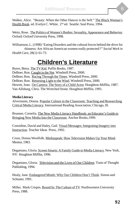Walker, Alice. "Beauty: When the Other Dancer is the Self." The Black Woman's Health Book. ed. Evelyn C. White. 2<sup>nd</sup> ed. Seattle: Seal Press, 1994.

Weitz, Rose. The Politics of Women's Bodies: Sexuality, Appearance and Behavior. Oxford: Oxford University Press, 1998.

Williamson, L. (1998) "Eating Disorders and the cultural forces behind the drive for thinness: Are African American women really protected*?" Social Work in Health Care*, 28(1): 61-73.

# **Children's Literature**

Byers, Betsy. The TV Kid. Puffin Books, 1987. DeBoer, Ron. Caught in the Net. Windmill Press, 2000. DeBoer, Ron. Racing Through the Times. Windmill Press, 2000. DeBoer, Ron. Returning Light to the Wind. Windmill Press, 2000. Hewett, Joan. On Camera: The Story of a Child Actor. Houghton-Mifflin, 1987. Van Allsburg, Chris. The Wretched Stone. Houghton Mifflin, 1991.

#### **Media Literacy**

Alvermann, Donna. Popular Culture in the Classroom: Teaching and Researching Critical Media Literacy. International Reading Association; Chicago, Ill.

Brunner, Cornelia. The New Media Literacy Handbook: an Educator's Guide to Bringing New Media Into the Classroom. Anchor Books, 1999.

Considine, David and Haley, Gail. Visual Messages: Integrating Imagery into Instruction. Teacher Ideas Press, 1992.

Cross, Donna Woolfolk. Mediaspeak: How Television Makes Up Your Mind. Mentor, 1983.

Degaetano, Gloria. Screen Smarts: A Family Guide to Media Literacy. New York, NY: Houghton Mifflin, 1996.

Degaetano, Gloria. Television and the Lives of Our Children. Train of Thought Publishing, 1994.

Healy, Jane. Endangered Minds: Why Our Children Don't Think. Simon and Schuster, 1991.

Miller, Mark Crispin. Boxed In: The Culture of TV. Northwestern University Press, 1988.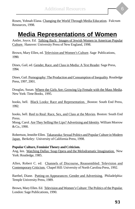

Rosen, Yohnah Elana. Changing the World Through Media Education. Fulcrum Resources, 1998.

## **Media Representations of Women**

Antler, Joyce, Ed. Talking Back: Images of Jewish Women in American Popular Culture. Hanover: University Press of New England, 1998.

Brown, Mary Ellen, ed. Television and Women's Culture. Sage Publications, 1990.

Dines, Gail, ed. Gender, Race, and Class in Media: A Text Reader. Sage Press, 1994.

Dines, Gail. Pornography: The Production and Consumption of Inequality. Routledge Press, 1997, 2001.

Douglas, Susan. Where the Girls Are: Growing Up Female with the Mass Media. New York: Time Books, 1995.

hooks, bell. Black Looks: Race and Representation. Boston: South End Press, 1992.

hooks, bell. Reel to Real: Race, Sex, and Class at the Movies. Boston: South End Press.

Moog, Carol. Are They Selling Her Lips? Advertising and Identity. William Morrow & Co., 1990.

Robertson, Jennifer Ellen. Takarazuka: Sexual Politics and Popular Culture in Modern Japan. Berkeley: University of California Press, 1998.

#### **Popular Culture, Feminist Theory and Criticism.**

Ang, Ien. Watching Dallas: Soap Opera and the Melodramatic Imagination. New York: Routledge, 1985.

Allen, Robert C. ed. Channels of Discourse, Reassembled: Television and Contemporary Criticism. Chapel Hill: University of North Carolina Press, 1992.

Barthel, Diane. Putting on Appearances: Gender and Advertising. Philadelphia: Temple University Press, 1989.

Brown, Mary Ellen. Ed. Television and Women's Culture: The Politics of the Popular. London: Sage Publications, 1990.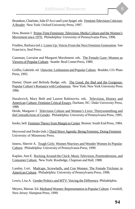Brundson, Charlotte, Julie D'Acci and Lynn Spigel. eds. Feminist Television Criticism: A Reader. New York: Oxford University Press, 1997.

Dow, Bonnie J. Prime-Time Feminism: Television, Media Culture and the Women's Movement since 1970. Philadelphia: University of Pennsylvania Press, 1996.

Findlen, Barbara (ed.), Listen Up: Voices From the Next Feminist Generation. San Francisco, Seal Press.

Gamman, Lorraine and Margaret Marshment. eds. The Female Gaze: Women as Viewers of Popular Culture. Seattle: Real Comet Press, 1989.

Griffin, Gabriele. ed. Outwrite: Lesbianism and Popular Culture. Boulder, CO: Pluto Press, 1993.

Hamer, Diane and Belinda Budge. eds. The Good, the Bad and the Gorgeous: Popular Culture's Romance with Lesbianism. New York: New York University Press 1994.

Haralovich, Mary Beth and Lauren Rabinovitz. eds. Television, History and American Culture: Feminist Critical Essays. Durham, NC: Duke University Press, 1999.

Heide, Margaret J. Television Culture and Women's Lives: Thirtysomething and theContradictions of Gender. Philadelphia: University of Pennsylvania Press, 1995.

hooks, bell. Feminist Theory from Margin to Center. Boston: South End Press, 1984.

Heywood and Drake (eds.) Third Wave Agenda: Being Feminist, Doing Feminist. University of Minnesota Press.

Inness, Sherrie A. Tough Girls: Women Warriors and Wonder Women In Popular Culture. Philadelphia: University of Pennsylvania Press, 1999.

Kaplan, Ann E. Rocking Around the Clock: Music Television, Postmodernism, and Consumer Culture. New York: Routledge, Chapman and Hall, 1988.

Landay, Lori. Madcaps, Screwballs, and Con Women: The Female Trickster in American Culture. Philadelphia: University of Pennsylvania Press, 1998.

Lewis, Lisa A. Gender Politics and MTV: Voicing the Difference. Philadelphia.

Meyers, Marian. Ed. Mediated Women: Representation in Popular Culture. Cresskill, New Jersey: Hampton Press, 1999.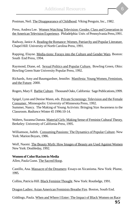Postman, Neil. The Disappearance of Childhood. Viking Penguin, Inc., 1982.

Press, Andrea Lee. Women Watching Television: Gender, Class and Generation in the American Television Experience. Philadelphia: Univ. of Pennsylvania Press,1991.

Radway, Janice A. Reading the Romance: Women, Patriarchy and Popular Literature. Chapel Hill: University of North Carolina Press, 1991.

Rapping, Elayne. Media-tions: Forays into the Culture and Gender Wars. Boston: South End Press, 1994.

Raymond, Diane, ed. Sexual Politics and Popular Culture. Bowling Green, Ohio: Bowling Green State University Popular Press, 1992.

Richards, Amy and Baumgardner, Jennifer. Manifesta: Young Women, Feminism, and the Future. 2000.

Rogers, Mary F. Barbie Culture. Thousand Oaks, California: Sage Publications,1999.

Spigel, Lynn and Denise Mann, eds. Private Screenings: Television and the Female Consumer. Minneapolis: University of Minnesota Press, 1992. Summer, Nancy. The Making of Young Activists: Bringing Size Awareness to the Classroom. *Radiance* Winter 45 1996:10-14.

Walters, Suzanna Danuta. Material Girls: Making Sense of Feminist Cultural Theory. Berkeley: University of California Press, 1995.

Williamson, Judith. Consuming Passions: The Dynamics of Popular Culture. New York: Marion Boyars, 1986.

Wolf, Naomi. The Beauty Myth: How Images of Beauty are Used Against Women New York: Doubleday, 1992.

#### **Women of Color/Racism in Media**

Allen, Paula Gunn. The Sacred Hoop.

Castillo, Ana. Massacre of the Dreamers: Essays on Xicanisma. New York: Plume, 1995.

Collins, Patricia Hill. Black Feminist Thought. New York: Routledge, 1991.

Dragon Ladies: Asian American Feminists Breathe Fire. Boston, South End.

Giddings, Paula. When and Where I Enter: The Impact of Black Women on Race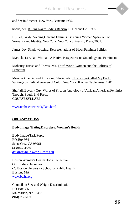and Sex in America. New York, Bantam: 1985.

hooks, bell. Killing Rage: Ending Racism. H. Hol and Co., 1995.

Hurtado, Aida. Voicing Chicana Feminisms: Young Women Speak out on Sexuality and Identity. New York: New York university Press, 2001.

James, Joy. Shadowboxing: Representations of Black Feminist Politics.

Maracle, Lee. I am Woman: A Native Perspective on Sociology and Feminism.

Mohanty, Russo and Torres, eds. Third World Women and the Politics of Feminism.

Moraga, Cherrie, and Anzaldua, Gloria, eds. This Bridge Called My Back: Writings by Radical Women of Color. New York: Kitchen Table Press, 1981.

Sheftall, Beverly Guy. Words of Fire: an Anthology of African American Feminist Though. South End Press. **COURSE SYLLABI**

www.umbc.edu/cwit/syllabi.html

#### **ORGANIZATIONS**

#### **Body Image / Eating Disorders / Women's Health**

Body Image Task Force P.O. Box 934 Santa Cruz, CA 95061 (408)457-4838 datkins@blue.weeg.uiowa.edu

Boston Women's Health Book Collective Our Bodies Ourselves c/o Boston University School of Public Health Boston, MA www.bwhc.org

Council on Size and Weight Discrimination P.O. Box 305 Mt. Marion, NY 12456 (914)678-1209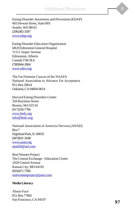Eating Disorder Awareness and Prevention (EDAP) 603 Stewart Street, Suite 803 Seattle, WA 98101 (206)382-3587 www.edap.org

Eating Disorder Education Organization 6R20 Edmonton General Hospital 11111 Jasper Avenue Edmonton, Alberta Canada T5K 0L6 (780)944-2864 www.edeo.org

The Fat Feminist Caucus of the NAAFA National Association to Advance Fat Acceptance P.O. Box 29614 Oakland, CA 94604-9614

Harvard Eating Disorders Center 356 Boylston Street Boston, MA 02116 (617)236-7766 www.hedc.org info@hedc.org

National Association of Anorexia Nervosa (ANAD) Box 7 Highland Park, IL 60035 (847)831-3438 www.anad.org anad20@aol.com

Real Women Project The Central Exchange - Education Center 1020 Central Avenue Kansas City, MO 64105 (816)471-7560 realwomenproject@juno.com

#### **Media Literacy**

About-Face P.O. Box 77665 San Francisco, CA 94107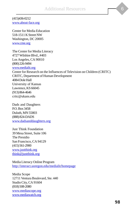(415)436-0212 www.about-face.org

Center for Media Education 518-1511 K Street NW Washington, DC 20005 www.cme.org

The Center for Media Literacy 4727 Wilshire Blvd., #403 Los Angeles, CA 90010 (800) 226-9494 www.medialit.org Center for Research on the Influences of Television on Children (CRITC) CRITC, Department of Human Development 4084 Dole Hall University of Kansas Lawrence, KS 66045 (913) 864-4646 critc@ukans.edu

Dads and Daughters P.O. Box 3458 Duluth, MN 55803 (888) 824-DADS www.dadsanddaughters.org

Just Think Foundation 39 Mesa Street, Suite 106 The Presidio San Francisco, CA 94129 (415) 561-2900 www.justthink.org think@justthink.org

Media Literacy Online Program http://interact.uoregon.edu/medialit/homepage

Media Scope 12711 Ventura Boulevard, Ste. 440 Studio City, CA 91604 (818) 508-2080 www.mediascope.org www.mediawatch.org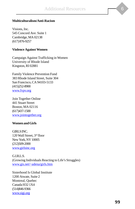#### **Multiculturalism/Anti-Racism**

Visions, Inc. 545 Concord Ave. Suite 1 Cambridge, MA 02138 (617) 876-9257

#### **Violence Against Women**

Campaign Against Trafficking in Women University of Rhode Island Kingston, RI 02881

Family Violence Prevention Fund 383 Rhode Island Street, Suite 304 San Francisco, CA 94103-5133 (415)252-8900 www.fvpv.org

Join Together Online 441 Stuart Street Boston, MA 02116 (617)437-1500 www.jointogether.org

#### **Women and Girls**

GIRLS INC. 120 Wall Street, 3rd floor New York, NY 10005 (212)509-2000 www.girlsinc.org

G.I.R.L.S. (Growing Individuals Reacting to Life's Struggles) www.gis.net/~adena/girls.htm

Sisterhood Is Global Institute 1200 Atwate, Suite 2 Montreal, Quebec Canada H32 1X4 (514)846-9366 www.sigi.org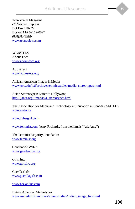Teen Voices Magazine c/o Women Express P.O. Box 120-027 Boston, MA 02112-0027 (888)882-TEEN www.teenvoices.com

#### **WEBSITES**

About Face www.about-face.org

Adbusters www.adbusters.org

African-American Images in Media www.usc.edu/isd/archives/ethnicstudies/media\_stereotypes.html

Asian Stereotypes: Letter to Hollywood http://janet.org/~manaa/a\_stereotypes.html

The Association for Media and Technology in Education in Canada (AMTEC) www.amtec.ca

www.cybergrrl.com

www.feminist.com (Amy Richards, from the film, is "Ask Amy")

The Feminist Majority Foundation www.feminist.org

Gendercide Watch www.gendercide.org

Girls, Inc. www.girlsinc.org

Guerilla Girls www.guerillagirls.com

www.her-online.com

Native American Stereotypes www.usc.edu/ids/archives/ethnicstudies/indian\_image\_bks.html